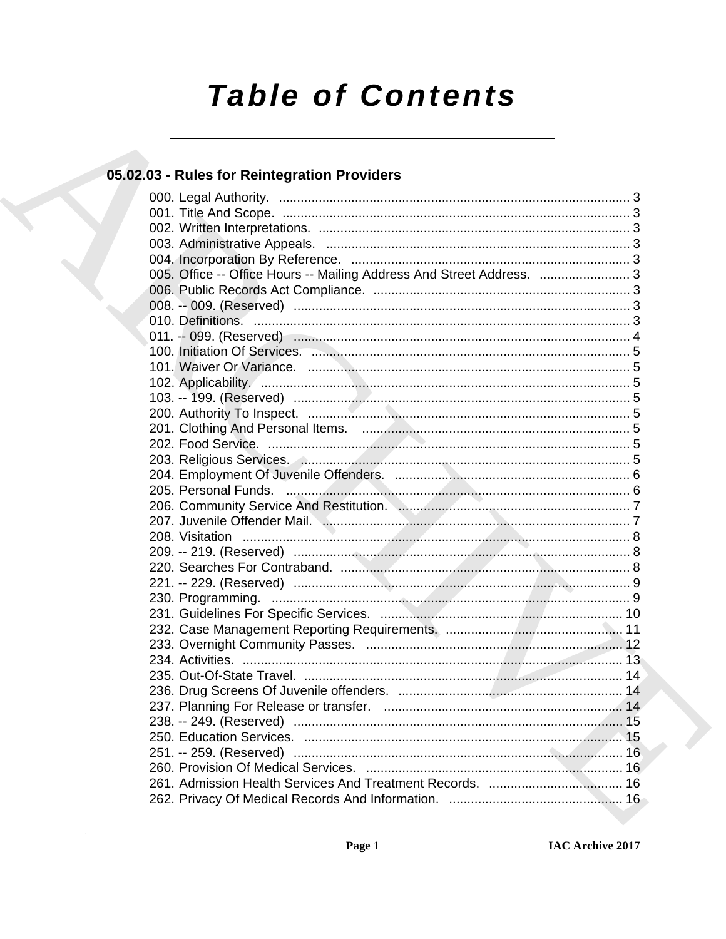# **Table of Contents**

# 05.02.03 - Rules for Reintegration Providers

| 005. Office -- Office Hours -- Mailing Address And Street Address.  3 |  |
|-----------------------------------------------------------------------|--|
|                                                                       |  |
|                                                                       |  |
|                                                                       |  |
|                                                                       |  |
|                                                                       |  |
|                                                                       |  |
|                                                                       |  |
|                                                                       |  |
|                                                                       |  |
|                                                                       |  |
|                                                                       |  |
|                                                                       |  |
|                                                                       |  |
|                                                                       |  |
|                                                                       |  |
|                                                                       |  |
|                                                                       |  |
|                                                                       |  |
|                                                                       |  |
|                                                                       |  |
|                                                                       |  |
|                                                                       |  |
|                                                                       |  |
|                                                                       |  |
|                                                                       |  |
|                                                                       |  |
|                                                                       |  |
|                                                                       |  |
|                                                                       |  |
|                                                                       |  |
|                                                                       |  |
|                                                                       |  |
|                                                                       |  |
|                                                                       |  |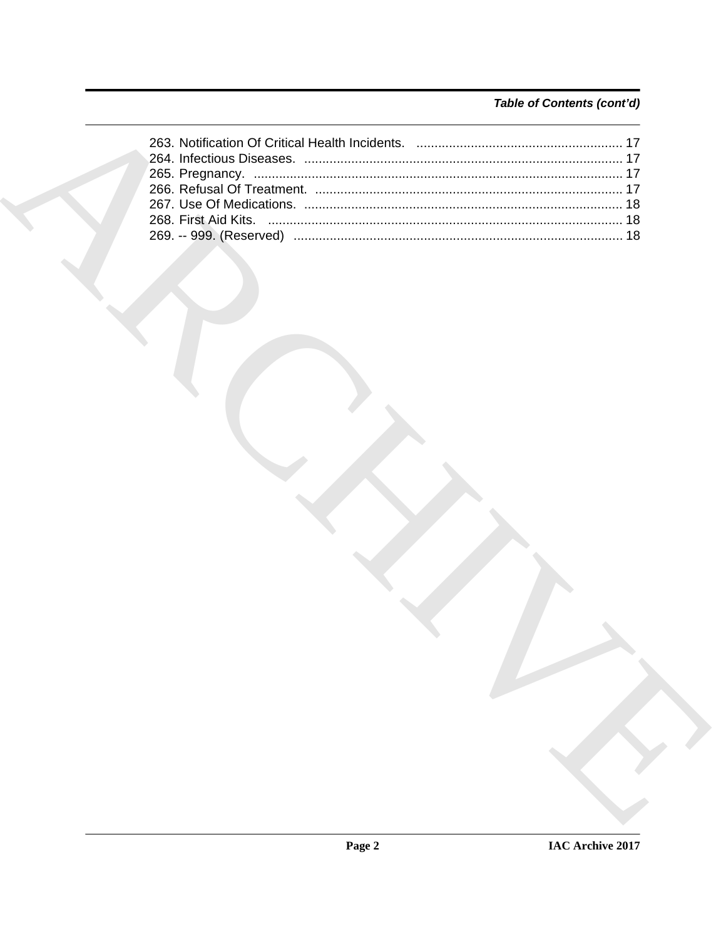# Table of Contents (cont'd)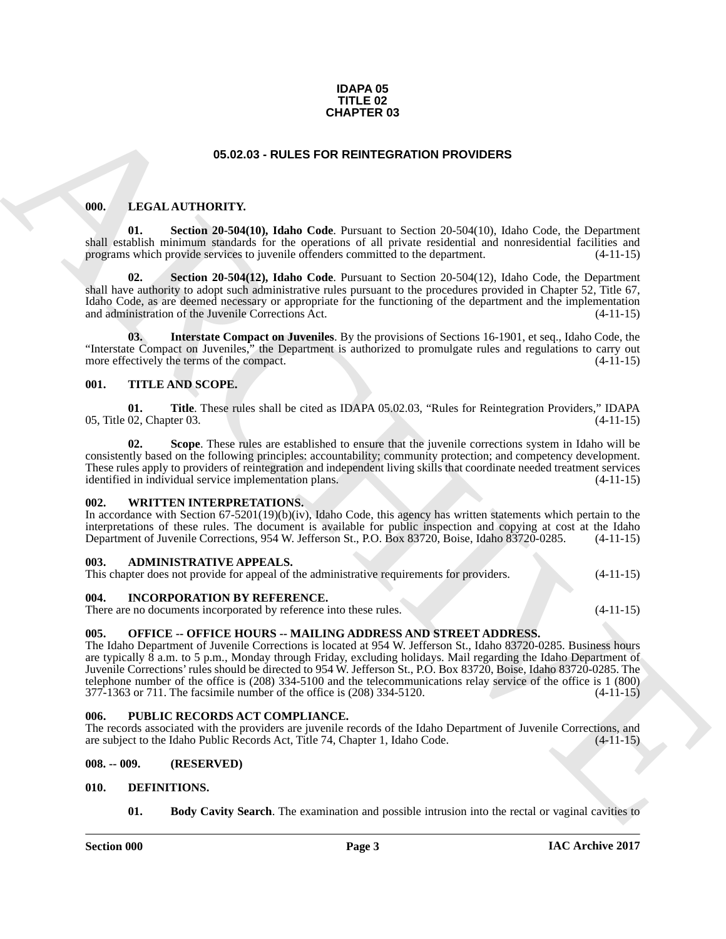#### **IDAPA 05 TITLE 02 CHAPTER 03**

#### <span id="page-2-16"></span>**05.02.03 - RULES FOR REINTEGRATION PROVIDERS**

#### <span id="page-2-14"></span><span id="page-2-1"></span><span id="page-2-0"></span>**000. LEGAL AUTHORITY.**

**01. Section 20-504(10), Idaho Code**. Pursuant to Section 20-504(10), Idaho Code, the Department shall establish minimum standards for the operations of all private residential and nonresidential facilities and programs which provide services to juvenile offenders committed to the department. (4-11-15) programs which provide services to juvenile offenders committed to the department.

<span id="page-2-17"></span>**02. Section 20-504(12), Idaho Code**. Pursuant to Section 20-504(12), Idaho Code, the Department shall have authority to adopt such administrative rules pursuant to the procedures provided in Chapter 52, Title 67, Idaho Code, as are deemed necessary or appropriate for the functioning of the department and the implementation and administration of the Juvenile Corrections Act. (4-11-15) and administration of the Juvenile Corrections Act.

<span id="page-2-15"></span>**03. Interstate Compact on Juveniles**. By the provisions of Sections 16-1901, et seq., Idaho Code, the "Interstate Compact on Juveniles," the Department is authorized to promulgate rules and regulations to carry out more effectively the terms of the compact. more effectively the terms of the compact.

#### <span id="page-2-20"></span><span id="page-2-2"></span>**001. TITLE AND SCOPE.**

<span id="page-2-22"></span>**01.** Title. These rules shall be cited as IDAPA 05.02.03, "Rules for Reintegration Providers," IDAPA 02. Chapter 03. (4-11-15) 05, Title 02, Chapter 03.

<span id="page-2-21"></span>**Scope**. These rules are established to ensure that the juvenile corrections system in Idaho will be consistently based on the following principles: accountability; community protection; and competency development. These rules apply to providers of reintegration and independent living skills that coordinate needed treatment services identified in individual service implementation plans. (4-11-15)

#### <span id="page-2-23"></span><span id="page-2-3"></span>**002. WRITTEN INTERPRETATIONS.**

In accordance with Section 67-5201(19)(b)(iv), Idaho Code, this agency has written statements which pertain to the interpretations of these rules. The document is available for public inspection and copying at cost at the Idaho Department of Juvenile Corrections, 954 W. Jefferson St., P.O. Box 83720, Boise, Idaho 83720-0285. (4-11-15)

#### <span id="page-2-10"></span><span id="page-2-4"></span>**003. ADMINISTRATIVE APPEALS.**

This chapter does not provide for appeal of the administrative requirements for providers. (4-11-15)

#### <span id="page-2-13"></span><span id="page-2-5"></span>**004. INCORPORATION BY REFERENCE.**

There are no documents incorporated by reference into these rules. (4-11-15)

#### <span id="page-2-18"></span><span id="page-2-6"></span>**005. OFFICE -- OFFICE HOURS -- MAILING ADDRESS AND STREET ADDRESS.**

**CHAPTER 03**<br> **CHARCHIVE CONTROVIDUATIVE CONTROVIDUATION** PROVIDERS<br> **CHARCHIVE CONTROVIDUATIVE CONTROVIDUATION** CONTROVIDUATION (AND CONTROVIDUATION)<br> **CHARCHIVE CONTROVIDUATION**<br> **CHARCHIVE CONTROVIDUATION**<br> **CHARCHIVE** The Idaho Department of Juvenile Corrections is located at 954 W. Jefferson St., Idaho 83720-0285. Business hours are typically 8 a.m. to 5 p.m., Monday through Friday, excluding holidays. Mail regarding the Idaho Department of Juvenile Corrections' rules should be directed to 954 W. Jefferson St., P.O. Box 83720, Boise, Idaho 83720-0285. The telephone number of the office is (208) 334-5100 and the telecommunications relay service of the office is 1 (800) 377-1363 or 711. The facsimile number of the office is (208) 334-5120. (4-11-15)

#### <span id="page-2-19"></span><span id="page-2-7"></span>**006. PUBLIC RECORDS ACT COMPLIANCE.**

The records associated with the providers are juvenile records of the Idaho Department of Juvenile Corrections, and are subject to the Idaho Public Records Act, Title 74, Chapter 1, Idaho Code. (4-11-15)

#### <span id="page-2-8"></span>**008. -- 009. (RESERVED)**

#### <span id="page-2-9"></span>**010. DEFINITIONS.**

<span id="page-2-12"></span><span id="page-2-11"></span>**01. Body Cavity Search**. The examination and possible intrusion into the rectal or vaginal cavities to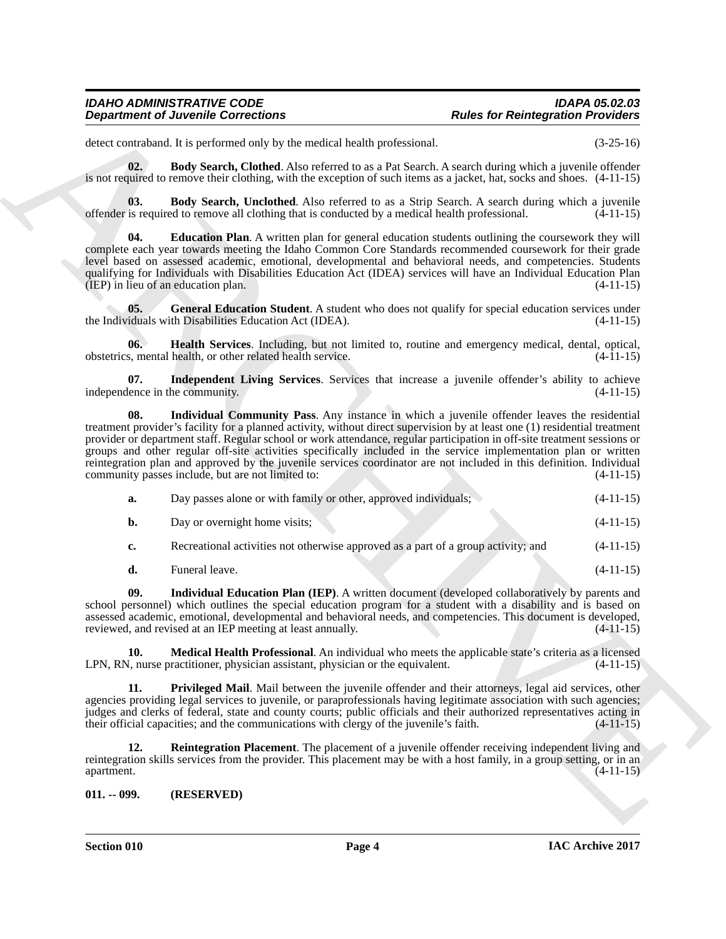<span id="page-3-1"></span>detect contraband. It is performed only by the medical health professional. (3-25-16)

**02. Body Search, Clothed**. Also referred to as a Pat Search. A search during which a juvenile offender is not required to remove their clothing, with the exception of such items as a jacket, hat, socks and shoes. (4-11-15)

<span id="page-3-2"></span>**03. Body Search, Unclothed**. Also referred to as a Strip Search. A search during which a juvenile offender is required to remove all clothing that is conducted by a medical health professional.  $(4-11-15)$ 

<span id="page-3-3"></span>**04. Education Plan**. A written plan for general education students outlining the coursework they will complete each year towards meeting the Idaho Common Core Standards recommended coursework for their grade level based on assessed academic, emotional, developmental and behavioral needs, and competencies. Students qualifying for Individuals with Disabilities Education Act (IDEA) services will have an Individual Education Plan<br>(1-11-15) (4-11-15)  $(IEP)$  in lieu of an education plan.

<span id="page-3-4"></span>**05.** General Education Student. A student who does not qualify for special education services under the Individuals with Disabilities Education Act (IDEA). (4-11-15)

<span id="page-3-5"></span>**06. Health Services**. Including, but not limited to, routine and emergency medical, dental, optical, obstetrics, mental health, or other related health service. (4-11-15)

<span id="page-3-7"></span><span id="page-3-6"></span>**07.** Independent Living Services. Services that increase a juvenile offender's ability to achieve lence in the community. (4-11-15) independence in the community.

**Department of Juvenile Connections**<br>
Sociological Prophetical Superior Connections<br>
Sociological Prophetical Superior Connections<br>
Sociological Prophetical Superior Connections and prophetical Connections and the same of **08. Individual Community Pass**. Any instance in which a juvenile offender leaves the residential treatment provider's facility for a planned activity, without direct supervision by at least one (1) residential treatment provider or department staff. Regular school or work attendance, regular participation in off-site treatment sessions or groups and other regular off-site activities specifically included in the service implementation plan or written reintegration plan and approved by the juvenile services coordinator are not included in this definition. Individual community passes include, but are not limited to: (4-11-15)

| а. | Day passes alone or with family or other, approved individuals;                   | $(4-11-15)$ |
|----|-----------------------------------------------------------------------------------|-------------|
| b. | Day or overnight home visits;                                                     | $(4-11-15)$ |
| c. | Recreational activities not otherwise approved as a part of a group activity; and | $(4-11-15)$ |

<span id="page-3-9"></span><span id="page-3-8"></span>**d.** Funeral leave. (4-11-15)

**09. Individual Education Plan (IEP)**. A written document (developed collaboratively by parents and school personnel) which outlines the special education program for a student with a disability and is based on assessed academic, emotional, developmental and behavioral needs, and competencies. This document is developed, reviewed, and revised at an IEP meeting at least annually. (4-11-15)

**10. Medical Health Professional**. An individual who meets the applicable state's criteria as a licensed  $\lambda$ , nurse practitioner, physician assistant, physician or the equivalent.  $(4-11-15)$ LPN, RN, nurse practitioner, physician assistant, physician or the equivalent.

<span id="page-3-10"></span>**Privileged Mail.** Mail between the juvenile offender and their attorneys, legal aid services, other agencies providing legal services to juvenile, or paraprofessionals having legitimate association with such agencies; judges and clerks of federal, state and county courts; public officials and their authorized representatives acting in their official capacities; and the communications with clergy of the juvenile's faith. (4-11-15) their official capacities; and the communications with clergy of the juvenile's faith.

<span id="page-3-11"></span>**12. Reintegration Placement**. The placement of a juvenile offender receiving independent living and reintegration skills services from the provider. This placement may be with a host family, in a group setting, or in an apartment. (4-11-15)

<span id="page-3-0"></span>**011. -- 099. (RESERVED)**

**Section 010 Page 4**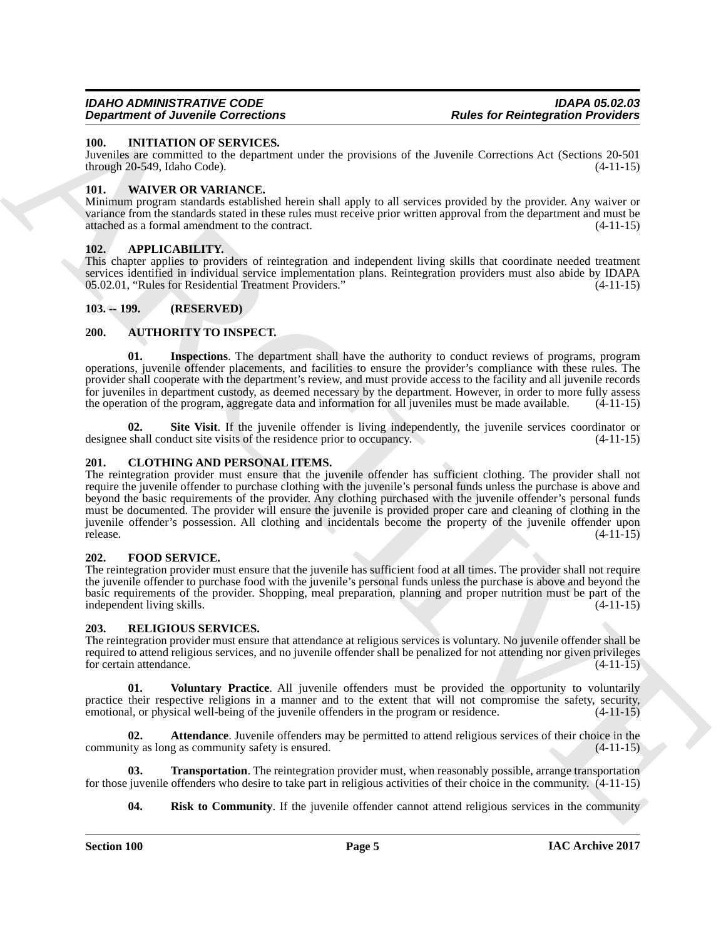#### <span id="page-4-14"></span><span id="page-4-0"></span>**100. INITIATION OF SERVICES.**

Juveniles are committed to the department under the provisions of the Juvenile Corrections Act (Sections 20-501 through 20-549, Idaho Code). (4-11-15)

#### <span id="page-4-20"></span><span id="page-4-1"></span>**101. WAIVER OR VARIANCE.**

Minimum program standards established herein shall apply to all services provided by the provider. Any waiver or variance from the standards stated in these rules must receive prior written approval from the department and must be attached as a formal amendment to the contract. (4-11-15)

#### <span id="page-4-8"></span><span id="page-4-2"></span>**102. APPLICABILITY.**

This chapter applies to providers of reintegration and independent living skills that coordinate needed treatment services identified in individual service implementation plans. Reintegration providers must also abide by IDAPA<br>05.02.01. "Rules for Residential Treatment Providers." 05.02.01, "Rules for Residential Treatment Providers."

#### <span id="page-4-3"></span>**103. -- 199. (RESERVED)**

#### <span id="page-4-9"></span><span id="page-4-4"></span>**200. AUTHORITY TO INSPECT.**

<span id="page-4-10"></span>**Inspections**. The department shall have the authority to conduct reviews of programs, program operations, juvenile offender placements, and facilities to ensure the provider's compliance with these rules. The provider shall cooperate with the department's review, and must provide access to the facility and all juvenile records for juveniles in department custody, as deemed necessary by the department. However, in order to more fully assess the operation of the program, aggregate data and information for all juveniles must be made available. (4-11-15)

<span id="page-4-11"></span>**02.** Site Visit. If the juvenile offender is living independently, the juvenile services coordinator or shall conduct site visits of the residence prior to occupancy.  $(4-11-15)$ designee shall conduct site visits of the residence prior to occupancy.

#### <span id="page-4-12"></span><span id="page-4-5"></span>**201. CLOTHING AND PERSONAL ITEMS.**

**Experiment of June 16 Concernent and the provision of the Neutrale Mechanism of the Secondary Concernent and Secondary 1980. The state of the Secondary 1981 and Secondary 1981 and Secondary 1981 and Secondary 1981 and Se** The reintegration provider must ensure that the juvenile offender has sufficient clothing. The provider shall not require the juvenile offender to purchase clothing with the juvenile's personal funds unless the purchase is above and beyond the basic requirements of the provider. Any clothing purchased with the juvenile offender's personal funds must be documented. The provider will ensure the juvenile is provided proper care and cleaning of clothing in the juvenile offender's possession. All clothing and incidentals become the property of the juvenile offender upon release. (4-11-15)

#### <span id="page-4-13"></span><span id="page-4-6"></span>**202. FOOD SERVICE.**

The reintegration provider must ensure that the juvenile has sufficient food at all times. The provider shall not require the juvenile offender to purchase food with the juvenile's personal funds unless the purchase is above and beyond the basic requirements of the provider. Shopping, meal preparation, planning and proper nutrition must be part of the independent living skills.

#### <span id="page-4-15"></span><span id="page-4-7"></span>**203. RELIGIOUS SERVICES.**

The reintegration provider must ensure that attendance at religious services is voluntary. No juvenile offender shall be required to attend religious services, and no juvenile offender shall be penalized for not attending nor given privileges for certain attendance. (4-11-15) for certain attendance.

<span id="page-4-19"></span>**01. Voluntary Practice**. All juvenile offenders must be provided the opportunity to voluntarily practice their respective religions in a manner and to the extent that will not compromise the safety, security, emotional, or physical well-being of the juvenile offenders in the program or residence. (4-11-15) emotional, or physical well-being of the juvenile offenders in the program or residence.

<span id="page-4-16"></span>**02. Attendance**. Juvenile offenders may be permitted to attend religious services of their choice in the community as long as community safety is ensured. (4-11-15)

**03.** Transportation. The reintegration provider must, when reasonably possible, arrange transportation for those juvenile offenders who desire to take part in religious activities of their choice in the community. (4-11-15)

<span id="page-4-18"></span><span id="page-4-17"></span>**04.** Risk to Community. If the juvenile offender cannot attend religious services in the community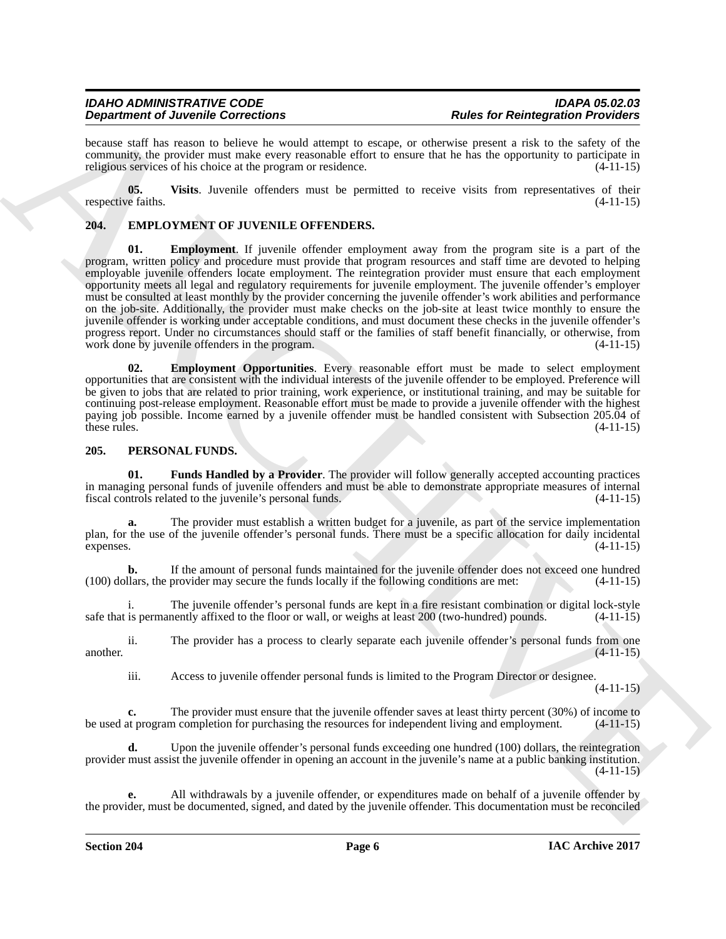because staff has reason to believe he would attempt to escape, or otherwise present a risk to the safety of the community, the provider must make every reasonable effort to ensure that he has the opportunity to participate in religious services of his choice at the program or residence. (4-11-15)

<span id="page-5-7"></span>**05. Visits**. Juvenile offenders must be permitted to receive visits from representatives of their respective faiths. (4-11-15)

### <span id="page-5-3"></span><span id="page-5-2"></span><span id="page-5-0"></span>**204. EMPLOYMENT OF JUVENILE OFFENDERS.**

**Experimented Metallin and Sometimes Constraints (Sometimes Proposition Proposition Proposition Proposition Activity (Sometimes Proposition Proposition Proposition Proposition Proposition Proposition Proposition Propositi Employment**. If juvenile offender employment away from the program site is a part of the program, written policy and procedure must provide that program resources and staff time are devoted to helping employable juvenile offenders locate employment. The reintegration provider must ensure that each employment opportunity meets all legal and regulatory requirements for juvenile employment. The juvenile offender's employer must be consulted at least monthly by the provider concerning the juvenile offender's work abilities and performance on the job-site. Additionally, the provider must make checks on the job-site at least twice monthly to ensure the juvenile offender is working under acceptable conditions, and must document these checks in the juvenile offender's progress report. Under no circumstances should staff or the families of staff benefit financially, or otherwise, from work done by juvenile offenders in the program. work done by juvenile offenders in the program.

<span id="page-5-4"></span>**02. Employment Opportunities**. Every reasonable effort must be made to select employment opportunities that are consistent with the individual interests of the juvenile offender to be employed. Preference will be given to jobs that are related to prior training, work experience, or institutional training, and may be suitable for continuing post-release employment. Reasonable effort must be made to provide a juvenile offender with the highest paying job possible. Income earned by a juvenile offender must be handled consistent with Subsection 205.04 of these rules.  $(4-11-15)$ 

#### <span id="page-5-5"></span><span id="page-5-1"></span>**205. PERSONAL FUNDS.**

<span id="page-5-6"></span>**01. Funds Handled by a Provider**. The provider will follow generally accepted accounting practices in managing personal funds of juvenile offenders and must be able to demonstrate appropriate measures of internal fiscal controls related to the juvenile's personal funds. (4-11-15) fiscal controls related to the juvenile's personal funds.

**a.** The provider must establish a written budget for a juvenile, as part of the service implementation plan, for the use of the juvenile offender's personal funds. There must be a specific allocation for daily incidental expenses.  $(4-11-15)$ expenses. (4-11-15)

**b.** If the amount of personal funds maintained for the juvenile offender does not exceed one hundred llars, the provider may secure the funds locally if the following conditions are met:  $(4-11-15)$ (100) dollars, the provider may secure the funds locally if the following conditions are met: (4-11-15)

i. The juvenile offender's personal funds are kept in a fire resistant combination or digital lock-style safe that is permanently affixed to the floor or wall, or weighs at least  $200$  (two-hundred) pounds.  $(4-11-15)$ 

ii. The provider has a process to clearly separate each juvenile offender's personal funds from one another.  $(4-11-15)$ 

iii. Access to juvenile offender personal funds is limited to the Program Director or designee.

 $(4-11-15)$ 

**c.** The provider must ensure that the juvenile offender saves at least thirty percent (30%) of income to at program completion for purchasing the resources for independent living and employment. (4-11-15) be used at program completion for purchasing the resources for independent living and employment.

**d.** Upon the juvenile offender's personal funds exceeding one hundred (100) dollars, the reintegration provider must assist the juvenile offender in opening an account in the juvenile's name at a public banking institution.  $(4-11-15)$ 

**e.** All withdrawals by a juvenile offender, or expenditures made on behalf of a juvenile offender by the provider, must be documented, signed, and dated by the juvenile offender. This documentation must be reconciled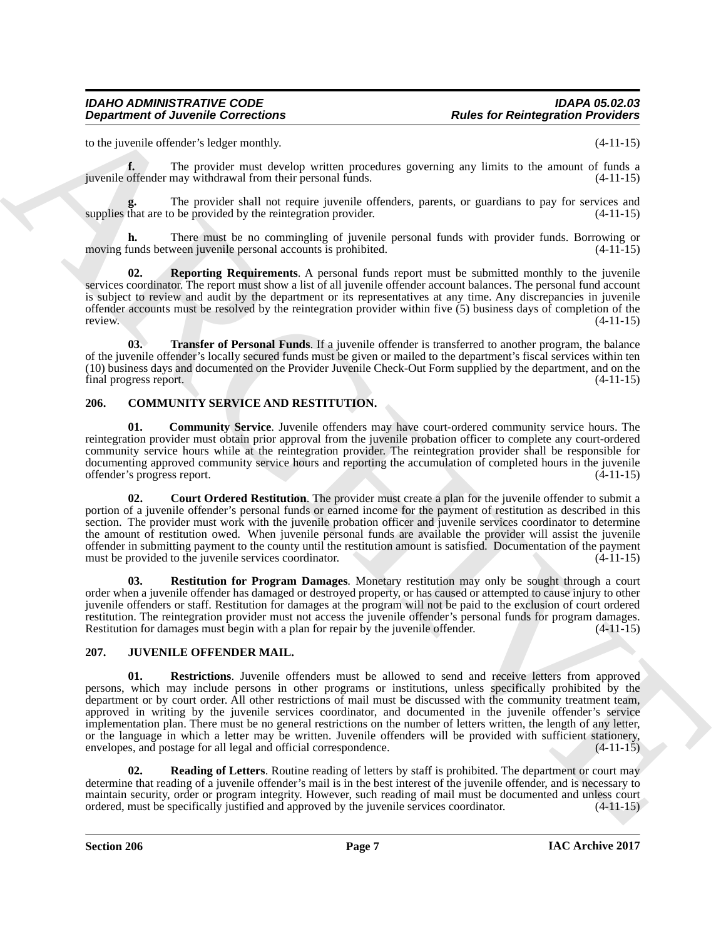to the juvenile offender's ledger monthly. (4-11-15)

**f.** The provider must develop written procedures governing any limits to the amount of funds a juvenile offender may withdrawal from their personal funds. (4-11-15)

The provider shall not require juvenile offenders, parents, or guardians to pay for services and p be provided by the reintegration provider. (4-11-15) supplies that are to be provided by the reintegration provider.

**h.** There must be no commingling of juvenile personal funds with provider funds. Borrowing or moving funds between juvenile personal accounts is prohibited. (4-11-15)

<span id="page-6-9"></span>**02. Reporting Requirements**. A personal funds report must be submitted monthly to the juvenile services coordinator. The report must show a list of all juvenile offender account balances. The personal fund account is subject to review and audit by the department or its representatives at any time. Any discrepancies in juvenile offender accounts must be resolved by the reintegration provider within five  $(5)$  business days of completion of the review.  $(4-11-15)$ review. (4-11-15)

<span id="page-6-10"></span>**03. Transfer of Personal Funds**. If a juvenile offender is transferred to another program, the balance of the juvenile offender's locally secured funds must be given or mailed to the department's fiscal services within ten (10) business days and documented on the Provider Juvenile Check-Out Form supplied by the department, and on the final progress report. (4-11-15)

#### <span id="page-6-2"></span><span id="page-6-0"></span>**206. COMMUNITY SERVICE AND RESTITUTION.**

<span id="page-6-3"></span>**01. Community Service**. Juvenile offenders may have court-ordered community service hours. The reintegration provider must obtain prior approval from the juvenile probation officer to complete any court-ordered community service hours while at the reintegration provider. The reintegration provider shall be responsible for documenting approved community service hours and reporting the accumulation of completed hours in the juvenile offender's progress report. (4-11-15)

<span id="page-6-4"></span> **02. Court Ordered Restitution**. The provider must create a plan for the juvenile offender to submit a portion of a juvenile offender's personal funds or earned income for the payment of restitution as described in this section. The provider must work with the juvenile probation officer and juvenile services coordinator to determine the amount of restitution owed. When juvenile personal funds are available the provider will assist the juvenile offender in submitting payment to the county until the restitution amount is satisfied. Documentation of the payment must be provided to the juvenile services coordinator. (4-11-15)

<span id="page-6-5"></span>**03. Restitution for Program Damages**. Monetary restitution may only be sought through a court order when a juvenile offender has damaged or destroyed property, or has caused or attempted to cause injury to other juvenile offenders or staff. Restitution for damages at the program will not be paid to the exclusion of court ordered restitution. The reintegration provider must not access the juvenile offender's personal funds for program damages. Restitution for damages must begin with a plan for repair by the juvenile offender. (4-11-15)

#### <span id="page-6-8"></span><span id="page-6-6"></span><span id="page-6-1"></span>**207. JUVENILE OFFENDER MAIL.**

**Department of Juvenile Connections**<br>
To the result of the models and the models are noticed and the procedure of the model of the state of the state of the state of the state of the state of the state of the state of the **01. Restrictions**. Juvenile offenders must be allowed to send and receive letters from approved persons, which may include persons in other programs or institutions, unless specifically prohibited by the department or by court order. All other restrictions of mail must be discussed with the community treatment team, approved in writing by the juvenile services coordinator, and documented in the juvenile offender's service implementation plan. There must be no general restrictions on the number of letters written, the length of any letter, or the language in which a letter may be written. Juvenile offenders will be provided with sufficient stationery, envelopes, and postage for all legal and official correspondence. (4-11-15)

<span id="page-6-7"></span>**02. Reading of Letters**. Routine reading of letters by staff is prohibited. The department or court may determine that reading of a juvenile offender's mail is in the best interest of the juvenile offender, and is necessary to maintain security, order or program integrity. However, such reading of mail must be documented and unless court ordered, must be specifically justified and approved by the juvenile services coordinator. (4-11-15) ordered, must be specifically justified and approved by the juvenile services coordinator. (4-11-15)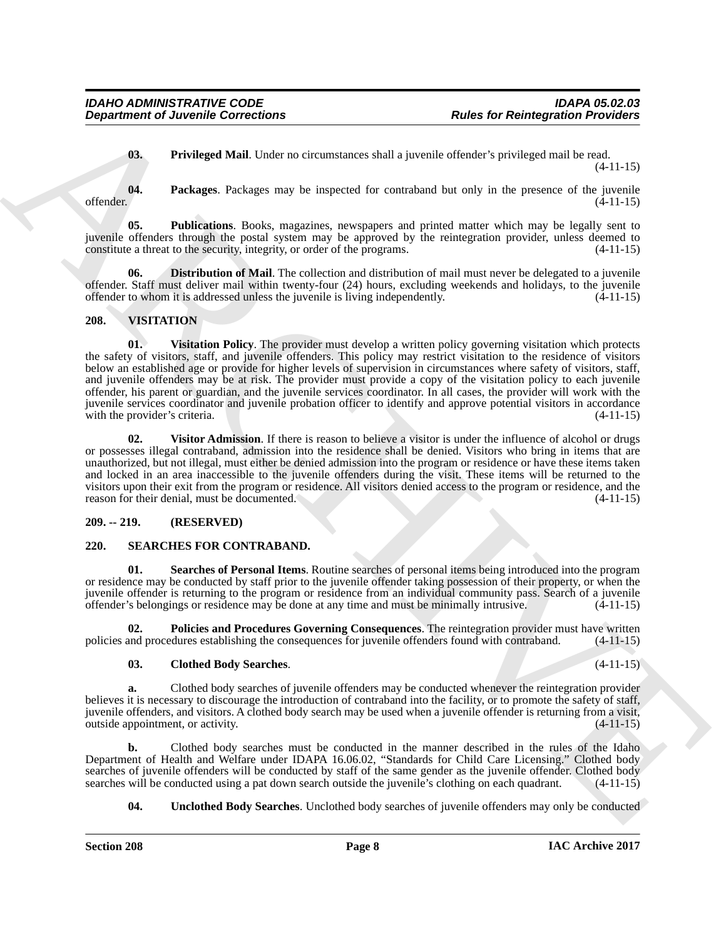<span id="page-7-6"></span><span id="page-7-5"></span><span id="page-7-4"></span>**03.** Privileged Mail. Under no circumstances shall a juvenile offender's privileged mail be read. (4-11-15)

**04.** Packages. Packages may be inspected for contraband but only in the presence of the juvenile offender. (4-11-15) offender. (4-11-15)

**05. Publications**. Books, magazines, newspapers and printed matter which may be legally sent to juvenile offenders through the postal system may be approved by the reintegration provider, unless deemed to constitute a threat to the security, integrity, or order of the programs. (4-11-15)

<span id="page-7-3"></span>**Distribution of Mail**. The collection and distribution of mail must never be delegated to a juvenile offender. Staff must deliver mail within twenty-four (24) hours, excluding weekends and holidays, to the juvenile offender to whom it is addressed unless the juvenile is living independently. (4-11-15)

#### <span id="page-7-13"></span><span id="page-7-12"></span><span id="page-7-0"></span>**208. VISITATION**

**Department of Juvenile Connections**<br> **Co.** Trivinged Mail, Under no circumstances shall a juvenile of feedback is related to relate the relationship of the state of the state of the state of the state of the state of the **01. Visitation Policy**. The provider must develop a written policy governing visitation which protects the safety of visitors, staff, and juvenile offenders. This policy may restrict visitation to the residence of visitors below an established age or provide for higher levels of supervision in circumstances where safety of visitors, staff, and juvenile offenders may be at risk. The provider must provide a copy of the visitation policy to each juvenile offender, his parent or guardian, and the juvenile services coordinator. In all cases, the provider will work with the juvenile services coordinator and juvenile probation officer to identify and approve potential visitors in accordance with the provider's criteria. (4-11-15)

<span id="page-7-14"></span>**02. Visitor Admission**. If there is reason to believe a visitor is under the influence of alcohol or drugs or possesses illegal contraband, admission into the residence shall be denied. Visitors who bring in items that are unauthorized, but not illegal, must either be denied admission into the program or residence or have these items taken and locked in an area inaccessible to the juvenile offenders during the visit. These items will be returned to the visitors upon their exit from the program or residence. All visitors denied access to the program or residence, and the reason for their denial, must be documented. (4-11-15)

#### <span id="page-7-1"></span>**209. -- 219. (RESERVED)**

#### <span id="page-7-7"></span><span id="page-7-2"></span>**220. SEARCHES FOR CONTRABAND.**

<span id="page-7-10"></span>Searches of Personal Items. Routine searches of personal items being introduced into the program or residence may be conducted by staff prior to the juvenile offender taking possession of their property, or when the juvenile offender is returning to the program or residence from an individual community pass. Search of a juvenile offender's belongings or residence may be done at any time and must be minimally intrusive.

**02. Policies and Procedures Governing Consequences**. The reintegration provider must have written policies and procedures establishing the consequences for juvenile offenders found with contraband. (4-11-15)

#### <span id="page-7-9"></span><span id="page-7-8"></span>**03. Clothed Body Searches**. (4-11-15)

**a.** Clothed body searches of juvenile offenders may be conducted whenever the reintegration provider believes it is necessary to discourage the introduction of contraband into the facility, or to promote the safety of staff, juvenile offenders, and visitors. A clothed body search may be used when a juvenile offender is returning from a visit, outside appointment, or activity.

**b.** Clothed body searches must be conducted in the manner described in the rules of the Idaho Department of Health and Welfare under IDAPA 16.06.02, "Standards for Child Care Licensing." Clothed body searches of juvenile offenders will be conducted by staff of the same gender as the juvenile offender. Clothed body searches will be conducted using a pat down search outside the juvenile's clothing on each quadrant. (4-11 searches will be conducted using a pat down search outside the juvenile's clothing on each quadrant.

<span id="page-7-11"></span>**04.** Unclothed Body Searches. Unclothed body searches of juvenile offenders may only be conducted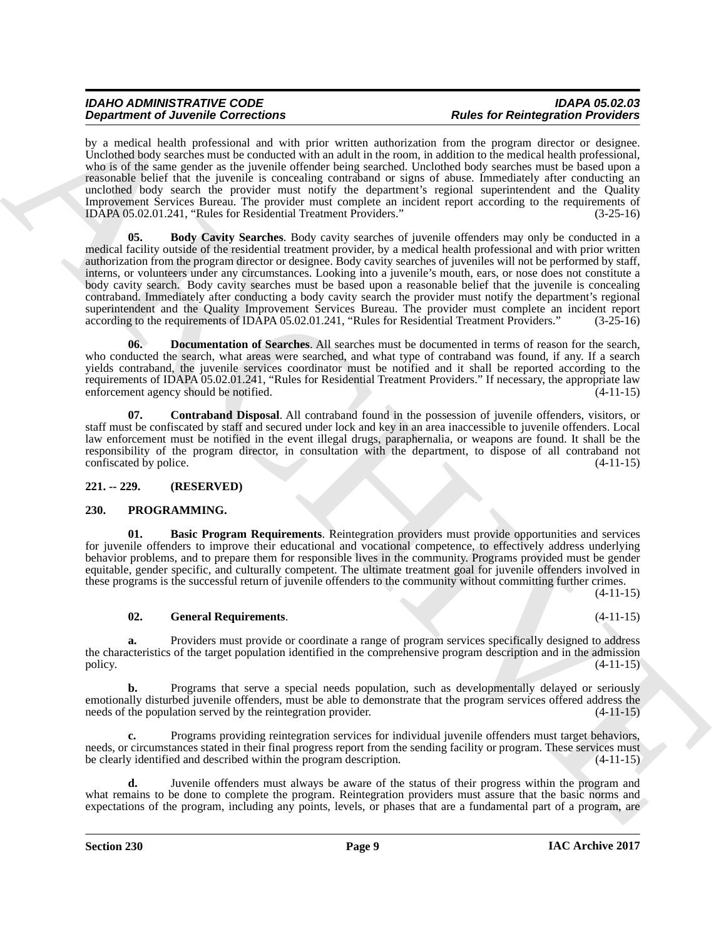<span id="page-8-5"></span>by a medical health professional and with prior written authorization from the program director or designee. Unclothed body searches must be conducted with an adult in the room, in addition to the medical health professional, who is of the same gender as the juvenile offender being searched. Unclothed body searches must be based upon a reasonable belief that the juvenile is concealing contraband or signs of abuse. Immediately after conducting an unclothed body search the provider must notify the department's regional superintendent and the Quality Improvement Services Bureau. The provider must complete an incident report according to the requirements of IDAPA 05.02.01.241. "Rules for Residential Treatment Providers." (3-25-16) IDAPA 05.02.01.241, "Rules for Residential Treatment Providers."

**Dependent of Develop Sometimes** This controller with a material Random in the specific of Relative states of Relative states in the specific of the specific of the specific of the specific of the specific of the specific **05. Body Cavity Searches**. Body cavity searches of juvenile offenders may only be conducted in a medical facility outside of the residential treatment provider, by a medical health professional and with prior written authorization from the program director or designee. Body cavity searches of juveniles will not be performed by staff, interns, or volunteers under any circumstances. Looking into a juvenile's mouth, ears, or nose does not constitute a body cavity search. Body cavity searches must be based upon a reasonable belief that the juvenile is concealing contraband. Immediately after conducting a body cavity search the provider must notify the department's regional superintendent and the Quality Improvement Services Bureau. The provider must complete an incident report according to the requirements of IDAPA 05.02.01.241, "Rules for Residential Treatment Providers." (3-25-16) according to the requirements of IDAPA 05.02.01.241, "Rules for Residential Treatment Providers."

<span id="page-8-7"></span>**06.** Documentation of Searches. All searches must be documented in terms of reason for the search, who conducted the search, what areas were searched, and what type of contraband was found, if any. If a search yields contraband, the juvenile services coordinator must be notified and it shall be reported according to the requirements of IDAPA 05.02.01.241, "Rules for Residential Treatment Providers." If necessary, the appropriate law<br>enforcement agency should be notified. (4-11-15) enforcement agency should be notified.

<span id="page-8-6"></span>**07. Contraband Disposal**. All contraband found in the possession of juvenile offenders, visitors, or staff must be confiscated by staff and secured under lock and key in an area inaccessible to juvenile offenders. Local law enforcement must be notified in the event illegal drugs, paraphernalia, or weapons are found. It shall be the responsibility of the program director, in consultation with the department, to dispose of all contraband not confiscated by police.

#### <span id="page-8-0"></span>**221. -- 229. (RESERVED)**

#### <span id="page-8-2"></span><span id="page-8-1"></span>**230. PROGRAMMING.**

<span id="page-8-3"></span>**01. Basic Program Requirements**. Reintegration providers must provide opportunities and services for juvenile offenders to improve their educational and vocational competence, to effectively address underlying behavior problems, and to prepare them for responsible lives in the community. Programs provided must be gender equitable, gender specific, and culturally competent. The ultimate treatment goal for juvenile offenders involved in these programs is the successful return of juvenile offenders to the community without committing further crimes.

 $(4-11-15)$ 

#### <span id="page-8-4"></span>**02. General Requirements**. (4-11-15)

**a.** Providers must provide or coordinate a range of program services specifically designed to address the characteristics of the target population identified in the comprehensive program description and in the admission policy. (4-11-15) policy.  $(4-11-15)$ 

**b.** Programs that serve a special needs population, such as developmentally delayed or seriously emotionally disturbed juvenile offenders, must be able to demonstrate that the program services offered address the needs of the population served by the reintegration provider. (4-11-15) needs of the population served by the reintegration provider.

**c.** Programs providing reintegration services for individual juvenile offenders must target behaviors, needs, or circumstances stated in their final progress report from the sending facility or program. These services must be clearly identified and described within the program description. (4-11-15)

**d.** Juvenile offenders must always be aware of the status of their progress within the program and what remains to be done to complete the program. Reintegration providers must assure that the basic norms and expectations of the program, including any points, levels, or phases that are a fundamental part of a program, are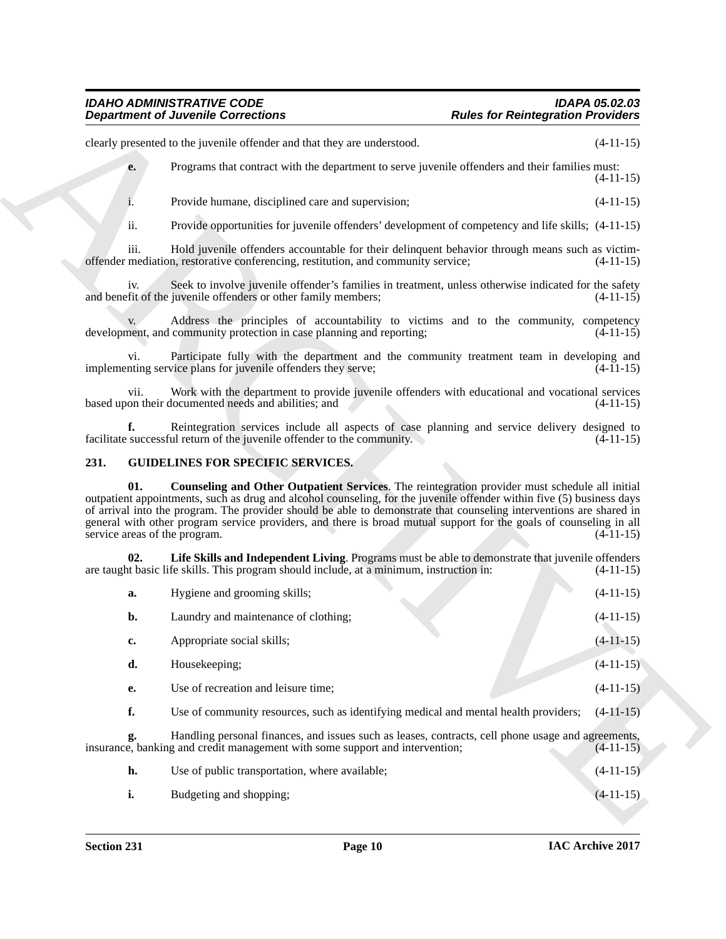#### <span id="page-9-3"></span><span id="page-9-2"></span><span id="page-9-1"></span><span id="page-9-0"></span>**231. GUIDELINES FOR SPECIFIC SERVICES.**

|                                      | <b>Department of Juvenile Corrections</b>                                                                                                                                                                                                                                                                                                                                                                                                                            | <b>Rules for Reintegration Providers</b> |
|--------------------------------------|----------------------------------------------------------------------------------------------------------------------------------------------------------------------------------------------------------------------------------------------------------------------------------------------------------------------------------------------------------------------------------------------------------------------------------------------------------------------|------------------------------------------|
|                                      | clearly presented to the juvenile offender and that they are understood.                                                                                                                                                                                                                                                                                                                                                                                             | $(4-11-15)$                              |
| e.                                   | Programs that contract with the department to serve juvenile offenders and their families must:                                                                                                                                                                                                                                                                                                                                                                      | $(4-11-15)$                              |
| i.                                   | Provide humane, disciplined care and supervision;                                                                                                                                                                                                                                                                                                                                                                                                                    | $(4-11-15)$                              |
| ii.                                  | Provide opportunities for juvenile offenders' development of competency and life skills; (4-11-15)                                                                                                                                                                                                                                                                                                                                                                   |                                          |
| iii.                                 | Hold juvenile offenders accountable for their delinquent behavior through means such as victim-<br>offender mediation, restorative conferencing, restitution, and community service;                                                                                                                                                                                                                                                                                 | $(4-11-15)$                              |
| iv.                                  | Seek to involve juvenile offender's families in treatment, unless otherwise indicated for the safety<br>and benefit of the juvenile offenders or other family members;                                                                                                                                                                                                                                                                                               | $(4-11-15)$                              |
|                                      | Address the principles of accountability to victims and to the community, competency<br>development, and community protection in case planning and reporting;                                                                                                                                                                                                                                                                                                        | $(4-11-15)$                              |
| vi.                                  | Participate fully with the department and the community treatment team in developing and<br>implementing service plans for juvenile offenders they serve;                                                                                                                                                                                                                                                                                                            | $(4-11-15)$                              |
| vii.                                 | Work with the department to provide juvenile offenders with educational and vocational services<br>based upon their documented needs and abilities; and                                                                                                                                                                                                                                                                                                              | $(4-11-15)$                              |
| f.                                   | Reintegration services include all aspects of case planning and service delivery designed to<br>facilitate successful return of the juvenile offender to the community.                                                                                                                                                                                                                                                                                              | $(4-11-15)$                              |
| 231.                                 | <b>GUIDELINES FOR SPECIFIC SERVICES.</b>                                                                                                                                                                                                                                                                                                                                                                                                                             |                                          |
| 01.<br>service areas of the program. | Counseling and Other Outpatient Services. The reintegration provider must schedule all initial<br>outpatient appointments, such as drug and alcohol counseling, for the juvenile offender within five (5) business days<br>of arrival into the program. The provider should be able to demonstrate that counseling interventions are shared in<br>general with other program service providers, and there is broad mutual support for the goals of counseling in all | $(4-11-15)$                              |
| 02.                                  | Life Skills and Independent Living. Programs must be able to demonstrate that juvenile offenders<br>are taught basic life skills. This program should include, at a minimum, instruction in:                                                                                                                                                                                                                                                                         | $(4-11-15)$                              |
| a.                                   | Hygiene and grooming skills;                                                                                                                                                                                                                                                                                                                                                                                                                                         | $(4-11-15)$                              |
| b.                                   | Laundry and maintenance of clothing;                                                                                                                                                                                                                                                                                                                                                                                                                                 | $(4-11-15)$                              |
| c.                                   | Appropriate social skills;                                                                                                                                                                                                                                                                                                                                                                                                                                           | $(4-11-15)$                              |
| d.                                   | Housekeeping;                                                                                                                                                                                                                                                                                                                                                                                                                                                        | $(4-11-15)$                              |
| е.                                   | Use of recreation and leisure time;                                                                                                                                                                                                                                                                                                                                                                                                                                  | $(4-11-15)$                              |
| f.                                   | Use of community resources, such as identifying medical and mental health providers;                                                                                                                                                                                                                                                                                                                                                                                 | $(4-11-15)$                              |
| g.                                   | Handling personal finances, and issues such as leases, contracts, cell phone usage and agreements,<br>insurance, banking and credit management with some support and intervention;                                                                                                                                                                                                                                                                                   | $(4-11-15)$                              |
|                                      |                                                                                                                                                                                                                                                                                                                                                                                                                                                                      |                                          |
| h.                                   | Use of public transportation, where available;                                                                                                                                                                                                                                                                                                                                                                                                                       | $(4-11-15)$                              |

| Use of public transportation, where available; | $(4-11-15)$ |
|------------------------------------------------|-------------|
| Budgeting and shopping;                        | $(4-11-15)$ |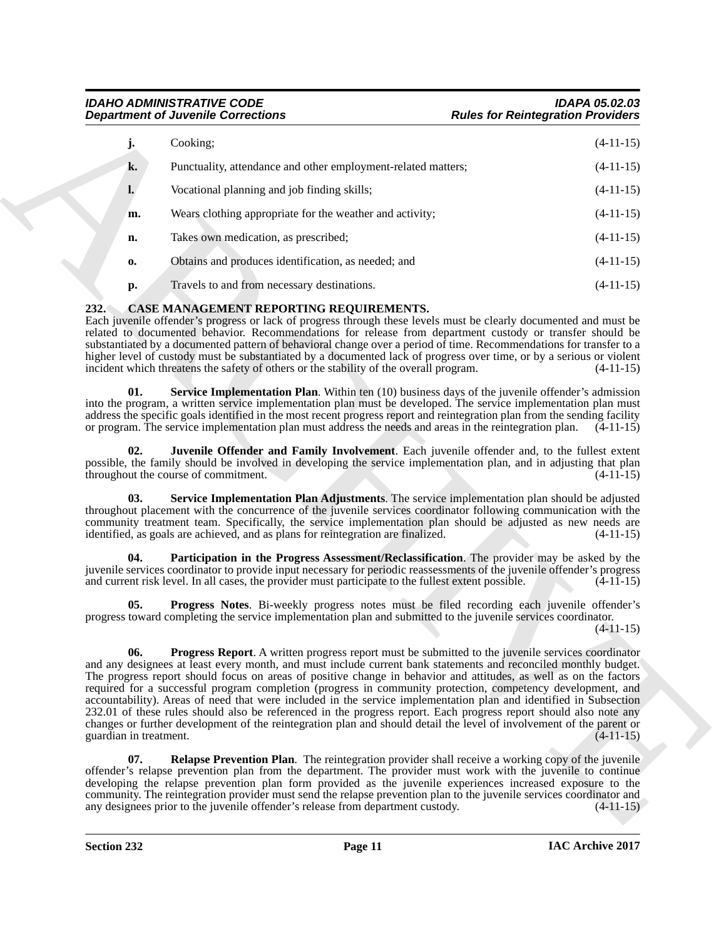|                               | <b>Department of Juvenile Corrections</b>                                                                                                                                                                                                                                                                                                                                                                                                                                                                                                                                                                                                                                                                                                                                                                                         | <b>Rules for Reintegration Providers</b> |
|-------------------------------|-----------------------------------------------------------------------------------------------------------------------------------------------------------------------------------------------------------------------------------------------------------------------------------------------------------------------------------------------------------------------------------------------------------------------------------------------------------------------------------------------------------------------------------------------------------------------------------------------------------------------------------------------------------------------------------------------------------------------------------------------------------------------------------------------------------------------------------|------------------------------------------|
| j.                            | Cooking;                                                                                                                                                                                                                                                                                                                                                                                                                                                                                                                                                                                                                                                                                                                                                                                                                          | $(4-11-15)$                              |
| k.                            | Punctuality, attendance and other employment-related matters;                                                                                                                                                                                                                                                                                                                                                                                                                                                                                                                                                                                                                                                                                                                                                                     | $(4-11-15)$                              |
| l.                            | Vocational planning and job finding skills;                                                                                                                                                                                                                                                                                                                                                                                                                                                                                                                                                                                                                                                                                                                                                                                       | $(4-11-15)$                              |
| m.                            | Wears clothing appropriate for the weather and activity;                                                                                                                                                                                                                                                                                                                                                                                                                                                                                                                                                                                                                                                                                                                                                                          | $(4-11-15)$                              |
| n.                            | Takes own medication, as prescribed;                                                                                                                                                                                                                                                                                                                                                                                                                                                                                                                                                                                                                                                                                                                                                                                              | $(4-11-15)$                              |
| 0.                            | Obtains and produces identification, as needed; and                                                                                                                                                                                                                                                                                                                                                                                                                                                                                                                                                                                                                                                                                                                                                                               | $(4-11-15)$                              |
| p.                            | Travels to and from necessary destinations.                                                                                                                                                                                                                                                                                                                                                                                                                                                                                                                                                                                                                                                                                                                                                                                       | $(4-11-15)$                              |
| 232.<br>01.                   | CASE MANAGEMENT REPORTING REQUIREMENTS.<br>Each juvenile offender's progress or lack of progress through these levels must be clearly documented and must be<br>related to documented behavior. Recommendations for release from department custody or transfer should be<br>substantiated by a documented pattern of behavioral change over a period of time. Recommendations for transfer to a<br>higher level of custody must be substantiated by a documented lack of progress over time, or by a serious or violent<br>incident which threatens the safety of others or the stability of the overall program.<br>Service Implementation Plan. Within ten (10) business days of the juvenile offender's admission                                                                                                             | $(4-11-15)$                              |
|                               | into the program, a written service implementation plan must be developed. The service implementation plan must<br>address the specific goals identified in the most recent progress report and reintegration plan from the sending facility<br>or program. The service implementation plan must address the needs and areas in the reintegration plan.                                                                                                                                                                                                                                                                                                                                                                                                                                                                           | $(4-11-15)$                              |
| 02.                           | Juvenile Offender and Family Involvement. Each juvenile offender and, to the fullest extent<br>possible, the family should be involved in developing the service implementation plan, and in adjusting that plan<br>throughout the course of commitment.                                                                                                                                                                                                                                                                                                                                                                                                                                                                                                                                                                          | $(4-11-15)$                              |
| 03.                           | Service Implementation Plan Adjustments. The service implementation plan should be adjusted<br>throughout placement with the concurrence of the juvenile services coordinator following communication with the<br>community treatment team. Specifically, the service implementation plan should be adjusted as new needs are<br>identified, as goals are achieved, and as plans for reintegration are finalized.                                                                                                                                                                                                                                                                                                                                                                                                                 | $(4-11-15)$                              |
| 04.                           | Participation in the Progress Assessment/Reclassification. The provider may be asked by the<br>juvenile services coordinator to provide input necessary for periodic reassessments of the juvenile offender's progress<br>and current risk level. In all cases, the provider must participate to the fullest extent possible.                                                                                                                                                                                                                                                                                                                                                                                                                                                                                                     | $(4-11-15)$                              |
| 05.                           | <b>Progress Notes.</b> Bi-weekly progress notes must be filed recording each juvenile offender's<br>progress toward completing the service implementation plan and submitted to the juvenile services coordinator.                                                                                                                                                                                                                                                                                                                                                                                                                                                                                                                                                                                                                | $(4-11-15)$                              |
| 06.<br>guardian in treatment. | <b>Progress Report.</b> A written progress report must be submitted to the juvenile services coordinator<br>and any designees at least every month, and must include current bank statements and reconciled monthly budget.<br>The progress report should focus on areas of positive change in behavior and attitudes, as well as on the factors<br>required for a successful program completion (progress in community protection, competency development, and<br>accountability). Areas of need that were included in the service implementation plan and identified in Subsection<br>232.01 of these rules should also be referenced in the progress report. Each progress report should also note any<br>changes or further development of the reintegration plan and should detail the level of involvement of the parent or | $(4-11-15)$                              |
| 07.                           | <b>Relapse Prevention Plan.</b> The reintegration provider shall receive a working copy of the juvenile<br>offender's relapse prevention plan from the department. The provider must work with the juvenile to continue<br>developing the relapse prevention plan form provided as the juvenile experiences increased exposure to the<br>community. The reintegration provider must send the relapse prevention plan to the juvenile services coordinator and                                                                                                                                                                                                                                                                                                                                                                     |                                          |

# <span id="page-10-8"></span><span id="page-10-7"></span><span id="page-10-6"></span><span id="page-10-5"></span><span id="page-10-4"></span><span id="page-10-3"></span><span id="page-10-2"></span><span id="page-10-1"></span><span id="page-10-0"></span>**232. CASE MANAGEMENT REPORTING REQUIREMENTS.**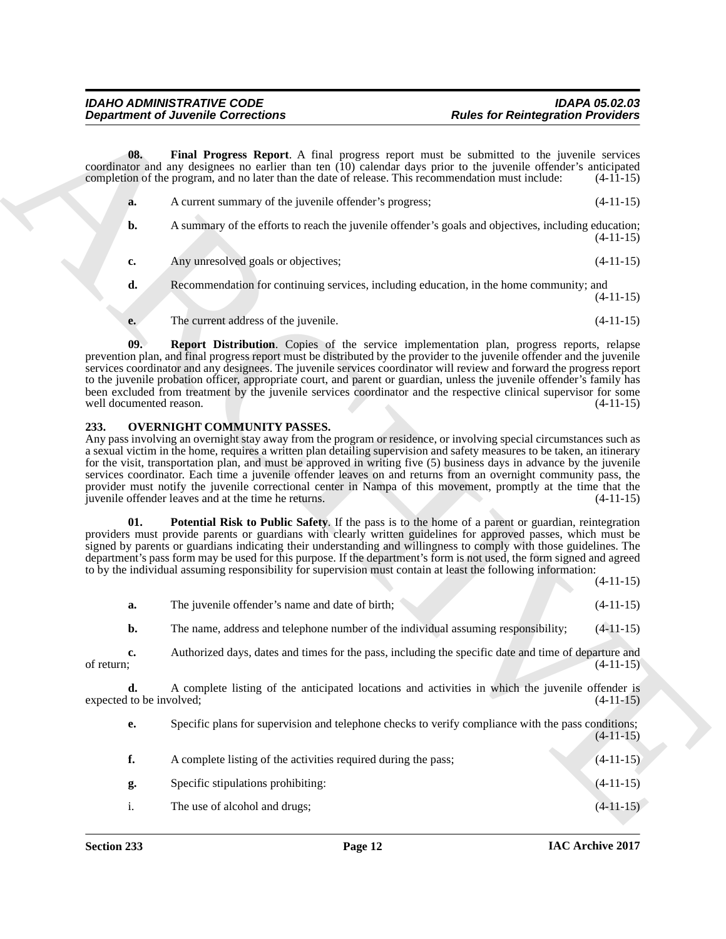<span id="page-11-1"></span>

| a. | A current summary of the juvenile offender's progress;<br>$(4-11-15)$                                               |
|----|---------------------------------------------------------------------------------------------------------------------|
| b. | A summary of the efforts to reach the juvenile offender's goals and objectives, including education;<br>$(4-11-15)$ |
| c. | Any unresolved goals or objectives;<br>$(4-11-15)$                                                                  |
| d. | Recommendation for continuing services, including education, in the home community; and<br>$(4-11-15)$              |
| e. | The current address of the juvenile.<br>$(4-11-15)$                                                                 |

#### <span id="page-11-4"></span><span id="page-11-3"></span><span id="page-11-2"></span><span id="page-11-0"></span>**233. OVERNIGHT COMMUNITY PASSES.**

|                  | <b>Department of Juvenile Corrections</b>                                                           | <b>Rules for Reintegration Providers</b>                                                                                                                                                                                                                                                                                                                                                                                                                                                                                                                                                                                     |
|------------------|-----------------------------------------------------------------------------------------------------|------------------------------------------------------------------------------------------------------------------------------------------------------------------------------------------------------------------------------------------------------------------------------------------------------------------------------------------------------------------------------------------------------------------------------------------------------------------------------------------------------------------------------------------------------------------------------------------------------------------------------|
| 08.              | completion of the program, and no later than the date of release. This recommendation must include: | Final Progress Report. A final progress report must be submitted to the juvenile services<br>coordinator and any designees no earlier than ten (10) calendar days prior to the juvenile offender's anticipated<br>$(4-11-15)$                                                                                                                                                                                                                                                                                                                                                                                                |
| a.               | A current summary of the juvenile offender's progress;                                              | $(4-11-15)$                                                                                                                                                                                                                                                                                                                                                                                                                                                                                                                                                                                                                  |
| b.               |                                                                                                     | A summary of the efforts to reach the juvenile offender's goals and objectives, including education;<br>$(4-11-15)$                                                                                                                                                                                                                                                                                                                                                                                                                                                                                                          |
| c.               | Any unresolved goals or objectives;                                                                 | $(4-11-15)$                                                                                                                                                                                                                                                                                                                                                                                                                                                                                                                                                                                                                  |
| d.               |                                                                                                     | Recommendation for continuing services, including education, in the home community; and<br>$(4-11-15)$                                                                                                                                                                                                                                                                                                                                                                                                                                                                                                                       |
| e.               | The current address of the juvenile.                                                                | $(4-11-15)$                                                                                                                                                                                                                                                                                                                                                                                                                                                                                                                                                                                                                  |
| 09.              | well documented reason.                                                                             | Report Distribution. Copies of the service implementation plan, progress reports, relapse<br>prevention plan, and final progress report must be distributed by the provider to the juvenile offender and the juvenile<br>services coordinator and any designees. The juvenile services coordinator will review and forward the progress report<br>to the juvenile probation officer, appropriate court, and parent or guardian, unless the juvenile offender's family has<br>been excluded from treatment by the juvenile services coordinator and the respective clinical supervisor for some<br>$(4-11-15)$                |
| 233.             | <b>OVERNIGHT COMMUNITY PASSES.</b><br>juvenile offender leaves and at the time he returns.          | Any pass involving an overnight stay away from the program or residence, or involving special circumstances such as<br>a sexual victim in the home, requires a written plan detailing supervision and safety measures to be taken, an itinerary<br>for the visit, transportation plan, and must be approved in writing five (5) business days in advance by the juvenile<br>services coordinator. Each time a juvenile offender leaves on and returns from an overnight community pass, the<br>provider must notify the juvenile correctional center in Nampa of this movement, promptly at the time that the<br>$(4-11-15)$ |
| 01.              |                                                                                                     | Potential Risk to Public Safety. If the pass is to the home of a parent or guardian, reintegration<br>providers must provide parents or guardians with clearly written guidelines for approved passes, which must be<br>signed by parents or guardians indicating their understanding and willingness to comply with those guidelines. The<br>department's pass form may be used for this purpose. If the department's form is not used, the form signed and agreed<br>to by the individual assuming responsibility for supervision must contain at least the following information:<br>$(4-11-15)$                          |
| a.               | The juvenile offender's name and date of birth;                                                     | $(4-11-15)$                                                                                                                                                                                                                                                                                                                                                                                                                                                                                                                                                                                                                  |
| b.               |                                                                                                     | $(4-11-15)$<br>The name, address and telephone number of the individual assuming responsibility;                                                                                                                                                                                                                                                                                                                                                                                                                                                                                                                             |
| c.<br>of return; |                                                                                                     | Authorized days, dates and times for the pass, including the specific date and time of departure and<br>$(4-11-15)$                                                                                                                                                                                                                                                                                                                                                                                                                                                                                                          |
| d.               | expected to be involved;                                                                            | A complete listing of the anticipated locations and activities in which the juvenile offender is<br>$(4-11-15)$                                                                                                                                                                                                                                                                                                                                                                                                                                                                                                              |
| е.               |                                                                                                     | Specific plans for supervision and telephone checks to verify compliance with the pass conditions;<br>$(4-11-15)$                                                                                                                                                                                                                                                                                                                                                                                                                                                                                                            |
| f.               | A complete listing of the activities required during the pass;                                      | $(4-11-15)$                                                                                                                                                                                                                                                                                                                                                                                                                                                                                                                                                                                                                  |
|                  |                                                                                                     |                                                                                                                                                                                                                                                                                                                                                                                                                                                                                                                                                                                                                              |
| g.               | Specific stipulations prohibiting:                                                                  | $(4-11-15)$                                                                                                                                                                                                                                                                                                                                                                                                                                                                                                                                                                                                                  |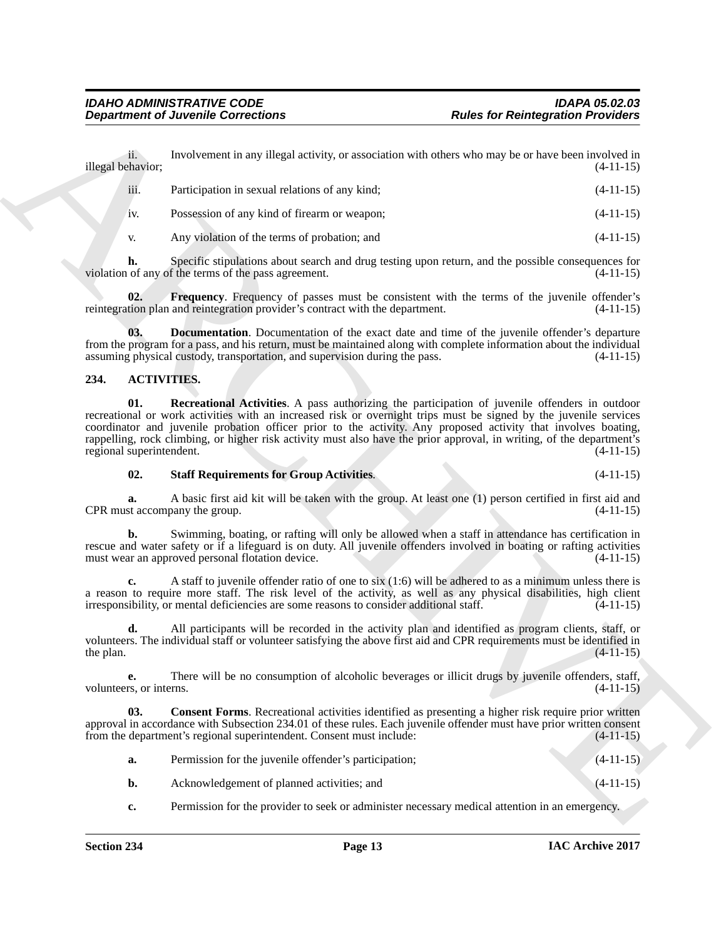ii. Involvement in any illegal activity, or association with others who may be or have been involved in thavior:<br>(4-11-15) illegal behavior;

| iii. | Participation in sexual relations of any kind: | $(4-11-15)$ |
|------|------------------------------------------------|-------------|
| 1V.  | Possession of any kind of firearm or weapon;   | $(4-11-15)$ |
|      | Any violation of the terms of probation; and   | $(4-11-15)$ |

**h.** Specific stipulations about search and drug testing upon return, and the possible consequences for of any of the terms of the pass agreement.  $(4-11-15)$ violation of any of the terms of the pass agreement.

<span id="page-12-6"></span>**Frequency.** Frequency of passes must be consistent with the terms of the juvenile offender's reintegration plan and reintegration provider's contract with the department. (4-11-15)

<span id="page-12-5"></span>**03. Documentation**. Documentation of the exact date and time of the juvenile offender's departure from the program for a pass, and his return, must be maintained along with complete information about the individual assuming physical custody, transportation, and supervision during the pass. (4-11-15)

#### <span id="page-12-3"></span><span id="page-12-1"></span><span id="page-12-0"></span>**234. ACTIVITIES.**

**Exparament of Juvenile Connections**<br> **Andes for Reinsequeine is the state and the state of the state of the state of the state of the state of the state of the state of the state of the state of the state of the state of 01. Recreational Activities**. A pass authorizing the participation of juvenile offenders in outdoor recreational or work activities with an increased risk or overnight trips must be signed by the juvenile services coordinator and juvenile probation officer prior to the activity. Any proposed activity that involves boating, rappelling, rock climbing, or higher risk activity must also have the prior approval, in writing, of the department's regional superintendent. (4-11-15) regional superintendent.

#### <span id="page-12-4"></span>**02. Staff Requirements for Group Activities**. (4-11-15)

**a.** A basic first aid kit will be taken with the group. At least one (1) person certified in first aid and st accompany the group.  $(4-11-15)$ CPR must accompany the group.

**b.** Swimming, boating, or rafting will only be allowed when a staff in attendance has certification in rescue and water safety or if a lifeguard is on duty. All juvenile offenders involved in boating or rafting activities must wear an approved personal flotation device.  $(4-11-15)$ must wear an approved personal flotation device.

**c.** A staff to juvenile offender ratio of one to six (1:6) will be adhered to as a minimum unless there is a reason to require more staff. The risk level of the activity, as well as any physical disabilities, high client irresponsibility, or mental deficiencies are some reasons to consider additional staff.  $(4-11-15)$ irresponsibility, or mental deficiencies are some reasons to consider additional staff.

**d.** All participants will be recorded in the activity plan and identified as program clients, staff, or volunteers. The individual staff or volunteer satisfying the above first aid and CPR requirements must be identified in the plan.  $(4-11-15)$ 

**e.** There will be no consumption of alcoholic beverages or illicit drugs by juvenile offenders, staff, rs. or interns. (4-11-15) volunteers, or interns.

**03.** Consent Forms. Recreational activities identified as presenting a higher risk require prior written approval in accordance with Subsection 234.01 of these rules. Each juvenile offender must have prior written consent from the department's regional superintendent. Consent must include:  $(4-11-15)$ from the department's regional superintendent. Consent must include:

<span id="page-12-2"></span>

| a. | Permission for the juvenile offender's participation; | $(4-11-15)$ |
|----|-------------------------------------------------------|-------------|
|    | Acknowledgement of planned activities; and            | $(4-11-15)$ |

**c.** Permission for the provider to seek or administer necessary medical attention in an emergency.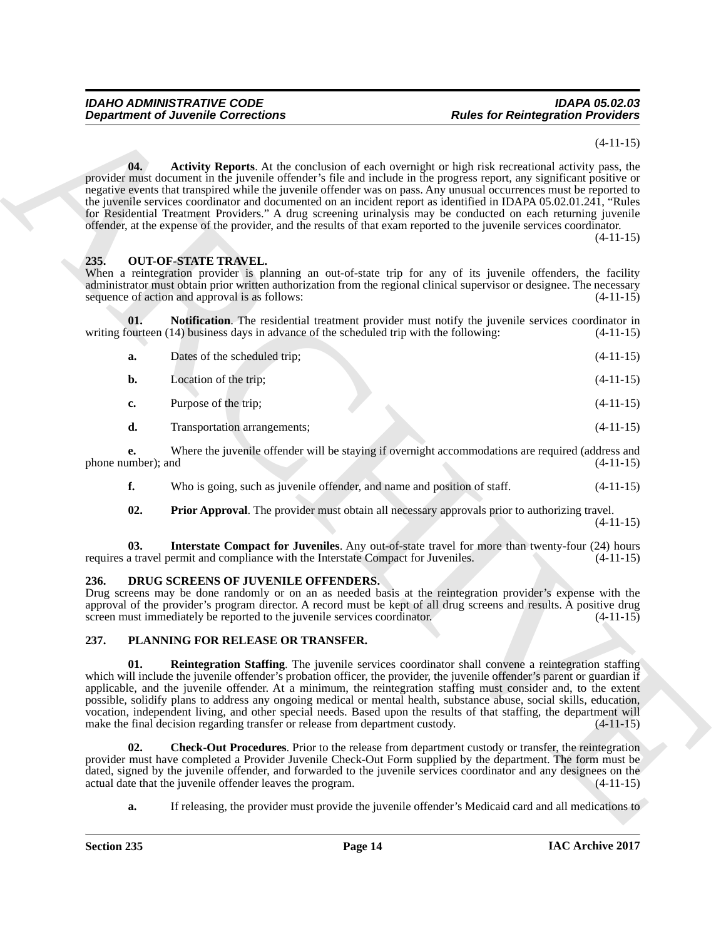### <span id="page-13-6"></span><span id="page-13-5"></span><span id="page-13-3"></span><span id="page-13-0"></span>**235. OUT-OF-STATE TRAVEL.**

|                          | <b>Department of Juvenile Corrections</b>                                                                                                                                                                                                                                                                                                                                                                                                                                                                                                                                                                                                                                                                                   | <b>Rules for Reintegration Providers</b> |             |
|--------------------------|-----------------------------------------------------------------------------------------------------------------------------------------------------------------------------------------------------------------------------------------------------------------------------------------------------------------------------------------------------------------------------------------------------------------------------------------------------------------------------------------------------------------------------------------------------------------------------------------------------------------------------------------------------------------------------------------------------------------------------|------------------------------------------|-------------|
|                          |                                                                                                                                                                                                                                                                                                                                                                                                                                                                                                                                                                                                                                                                                                                             |                                          | $(4-11-15)$ |
| 04.                      | <b>Activity Reports.</b> At the conclusion of each overnight or high risk recreational activity pass, the<br>provider must document in the juvenile offender's file and include in the progress report, any significant positive or<br>negative events that transpired while the juvenile offender was on pass. Any unusual occurrences must be reported to<br>the juvenile services coordinator and documented on an incident report as identified in IDAPA 05.02.01.241, "Rules<br>for Residential Treatment Providers." A drug screening urinalysis may be conducted on each returning juvenile<br>offender, at the expense of the provider, and the results of that exam reported to the juvenile services coordinator. |                                          | $(4-11-15)$ |
| 235.                     | <b>OUT-OF-STATE TRAVEL.</b><br>When a reintegration provider is planning an out-of-state trip for any of its juvenile offenders, the facility<br>administrator must obtain prior written authorization from the regional clinical supervisor or designee. The necessary<br>sequence of action and approval is as follows:                                                                                                                                                                                                                                                                                                                                                                                                   |                                          | $(4-11-15)$ |
| 01.                      | Notification. The residential treatment provider must notify the juvenile services coordinator in<br>writing fourteen (14) business days in advance of the scheduled trip with the following:                                                                                                                                                                                                                                                                                                                                                                                                                                                                                                                               |                                          | $(4-11-15)$ |
| a.                       | Dates of the scheduled trip;                                                                                                                                                                                                                                                                                                                                                                                                                                                                                                                                                                                                                                                                                                |                                          | $(4-11-15)$ |
| b.                       | Location of the trip;                                                                                                                                                                                                                                                                                                                                                                                                                                                                                                                                                                                                                                                                                                       |                                          | $(4-11-15)$ |
| c.                       | Purpose of the trip;                                                                                                                                                                                                                                                                                                                                                                                                                                                                                                                                                                                                                                                                                                        |                                          | $(4-11-15)$ |
| d.                       | Transportation arrangements;                                                                                                                                                                                                                                                                                                                                                                                                                                                                                                                                                                                                                                                                                                |                                          | $(4-11-15)$ |
| e.<br>phone number); and | Where the juvenile offender will be staying if overnight accommodations are required (address and                                                                                                                                                                                                                                                                                                                                                                                                                                                                                                                                                                                                                           |                                          | $(4-11-15)$ |
| f.                       | Who is going, such as juvenile offender, and name and position of staff.                                                                                                                                                                                                                                                                                                                                                                                                                                                                                                                                                                                                                                                    |                                          | $(4-11-15)$ |
| 02.                      | <b>Prior Approval.</b> The provider must obtain all necessary approvals prior to authorizing travel.                                                                                                                                                                                                                                                                                                                                                                                                                                                                                                                                                                                                                        |                                          | $(4-11-15)$ |
| 03.                      | Interstate Compact for Juveniles. Any out-of-state travel for more than twenty-four (24) hours<br>requires a travel permit and compliance with the Interstate Compact for Juveniles.                                                                                                                                                                                                                                                                                                                                                                                                                                                                                                                                        |                                          | $(4-11-15)$ |
| 236.                     | DRUG SCREENS OF JUVENILE OFFENDERS.<br>Drug screens may be done randomly or on an as needed basis at the reintegration provider's expense with the<br>approval of the provider's program director. A record must be kept of all drug screens and results. A positive drug<br>screen must immediately be reported to the juvenile services coordinator.                                                                                                                                                                                                                                                                                                                                                                      |                                          | $(4-11-15)$ |
| 237.                     | PLANNING FOR RELEASE OR TRANSFER.                                                                                                                                                                                                                                                                                                                                                                                                                                                                                                                                                                                                                                                                                           |                                          |             |
| 01.                      | <b>Reintegration Staffing.</b> The juvenile services coordinator shall convene a reintegration staffing<br>which will include the juvenile offender's probation officer, the provider, the juvenile offender's parent or guardian if<br>applicable, and the juvenile offender. At a minimum, the reintegration staffing must consider and, to the extent<br>possible, solidify plans to address any ongoing medical or mental health, substance abuse, social skills, education,<br>vocation, independent living, and other special needs. Based upon the results of that staffing, the department will<br>make the final decision regarding transfer or release from department custody.                                   |                                          | $(4-11-15)$ |
| 02.                      | <b>Check-Out Procedures.</b> Prior to the release from department custody or transfer, the reintegration<br>provider must have completed a Provider Juvenile Check-Out Form supplied by the department. The form must be<br>dated, signed by the juvenile offender, and forwarded to the juvenile services coordinator and any designees on the<br>actual date that the juvenile offender leaves the program.                                                                                                                                                                                                                                                                                                               |                                          | $(4-11-15)$ |
| a.                       | If releasing, the provider must provide the juvenile offender's Medicaid card and all medications to                                                                                                                                                                                                                                                                                                                                                                                                                                                                                                                                                                                                                        |                                          |             |

#### <span id="page-13-7"></span><span id="page-13-4"></span><span id="page-13-1"></span>**236. DRUG SCREENS OF JUVENILE OFFENDERS.**

#### <span id="page-13-10"></span><span id="page-13-9"></span><span id="page-13-8"></span><span id="page-13-2"></span>**237. PLANNING FOR RELEASE OR TRANSFER.**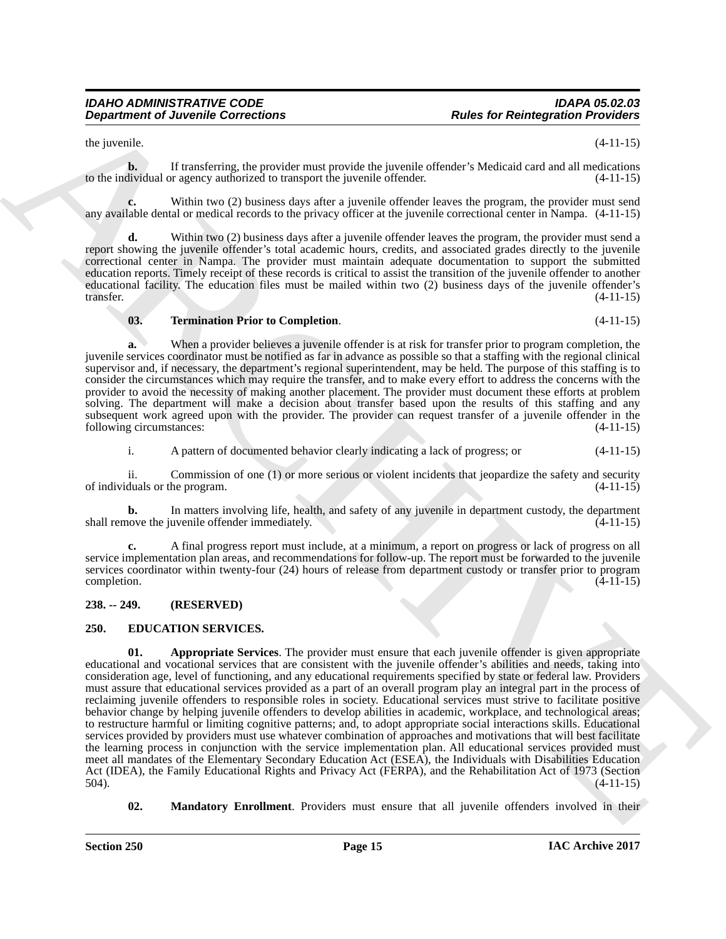the juvenile.  $(4-11-15)$ 

**b.** If transferring, the provider must provide the juvenile offender's Medicaid card and all medications to the individual or agency authorized to transport the juvenile offender. (4-11-15)

**c.** Within two (2) business days after a juvenile offender leaves the program, the provider must send any available dental or medical records to the privacy officer at the juvenile correctional center in Nampa. (4-11-15)

Within two (2) business days after a juvenile offender leaves the program, the provider must send a report showing the juvenile offender's total academic hours, credits, and associated grades directly to the juvenile correctional center in Nampa. The provider must maintain adequate documentation to support the submitted education reports. Timely receipt of these records is critical to assist the transition of the juvenile offender to another educational facility. The education files must be mailed within two (2) business days of the juvenile offender's transfer. (4-11-15)

#### <span id="page-14-5"></span>**03. Termination Prior to Completion**. (4-11-15)

**a.** When a provider believes a juvenile offender is at risk for transfer prior to program completion, the juvenile services coordinator must be notified as far in advance as possible so that a staffing with the regional clinical supervisor and, if necessary, the department's regional superintendent, may be held. The purpose of this staffing is to consider the circumstances which may require the transfer, and to make every effort to address the concerns with the provider to avoid the necessity of making another placement. The provider must document these efforts at problem solving. The department will make a decision about transfer based upon the results of this staffing and any subsequent work agreed upon with the provider. The provider can request transfer of a juvenile offender in the following circumstances: (4-11-15)

i. A pattern of documented behavior clearly indicating a lack of progress; or (4-11-15)

ii. Commission of one (1) or more serious or violent incidents that jeopardize the safety and security duals or the program.  $(4-11-15)$ of individuals or the program.

**b.** In matters involving life, health, and safety of any juvenile in department custody, the department love the juvenile offender immediately.  $(4-11-15)$ shall remove the juvenile offender immediately.

**c.** A final progress report must include, at a minimum, a report on progress or lack of progress on all service implementation plan areas, and recommendations for follow-up. The report must be forwarded to the juvenile services coordinator within twenty-four (24) hours of release from department custody or transfer prior to program completion.  $(4-11-15)$ 

#### <span id="page-14-0"></span>**238. -- 249. (RESERVED)**

#### <span id="page-14-3"></span><span id="page-14-2"></span><span id="page-14-1"></span>**250. EDUCATION SERVICES.**

**Department of Juvenile Connections**<br>
Archives the Reintegration Provident and the symphonic of the Section Provident and the symphonic of the ULIS<br>
Subsequence of the Section Provident and the symphonic of the Connection **01. Appropriate Services**. The provider must ensure that each juvenile offender is given appropriate educational and vocational services that are consistent with the juvenile offender's abilities and needs, taking into consideration age, level of functioning, and any educational requirements specified by state or federal law. Providers must assure that educational services provided as a part of an overall program play an integral part in the process of reclaiming juvenile offenders to responsible roles in society. Educational services must strive to facilitate positive behavior change by helping juvenile offenders to develop abilities in academic, workplace, and technological areas; to restructure harmful or limiting cognitive patterns; and, to adopt appropriate social interactions skills. Educational services provided by providers must use whatever combination of approaches and motivations that will best facilitate the learning process in conjunction with the service implementation plan. All educational services provided must meet all mandates of the Elementary Secondary Education Act (ESEA), the Individuals with Disabilities Education Act (IDEA), the Family Educational Rights and Privacy Act (FERPA), and the Rehabilitation Act of 1973 (Section 504). 504). (4-11-15)

<span id="page-14-4"></span>**02. Mandatory Enrollment**. Providers must ensure that all juvenile offenders involved in their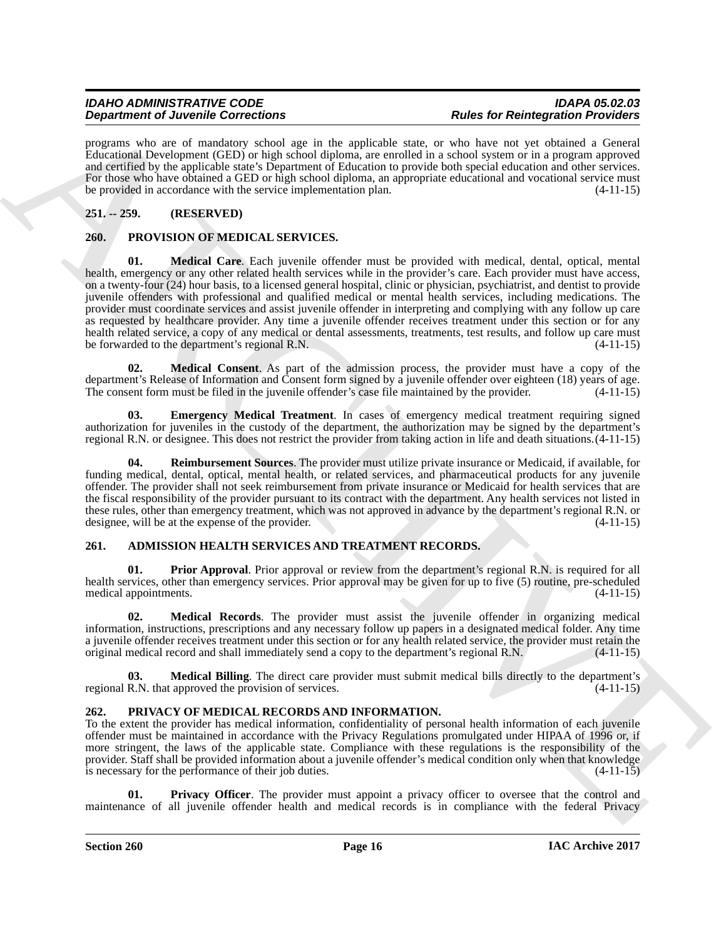programs who are of mandatory school age in the applicable state, or who have not yet obtained a General Educational Development (GED) or high school diploma, are enrolled in a school system or in a program approved and certified by the applicable state's Department of Education to provide both special education and other services. For those who have obtained a GED or high school diploma, an appropriate educational and vocational service must be provided in accordance with the service implementation plan. (4-11-15)

# <span id="page-15-0"></span>**251. -- 259. (RESERVED)**

### <span id="page-15-12"></span><span id="page-15-10"></span><span id="page-15-1"></span>**260. PROVISION OF MEDICAL SERVICES.**

**Dependent of Development and the system of the system of the system of the system of the system of the system of the system of the system of the system of the system of the system of the system of the system of the syste 01. Medical Care**. Each juvenile offender must be provided with medical, dental, optical, mental health, emergency or any other related health services while in the provider's care. Each provider must have access, on a twenty-four (24) hour basis, to a licensed general hospital, clinic or physician, psychiatrist, and dentist to provide juvenile offenders with professional and qualified medical or mental health services, including medications. The provider must coordinate services and assist juvenile offender in interpreting and complying with any follow up care as requested by healthcare provider. Any time a juvenile offender receives treatment under this section or for any health related service, a copy of any medical or dental assessments, treatments, test results, and follow up care must<br>be forwarded to the department's regional R.N. be forwarded to the department's regional R.N.

<span id="page-15-13"></span>**02. Medical Consent**. As part of the admission process, the provider must have a copy of the department's Release of Information and Consent form signed by a juvenile offender over eighteen (18) years of age.<br>The consent form must be filed in the juvenile offender's case file maintained by the provider. (4-11-15) The consent form must be filed in the juvenile offender's case file maintained by the provider.

<span id="page-15-11"></span>**03. Emergency Medical Treatment**. In cases of emergency medical treatment requiring signed authorization for juveniles in the custody of the department, the authorization may be signed by the department's regional R.N. or designee. This does not restrict the provider from taking action in life and death situations.(4-11-15)

<span id="page-15-14"></span>**04. Reimbursement Sources**. The provider must utilize private insurance or Medicaid, if available, for funding medical, dental, optical, mental health, or related services, and pharmaceutical products for any juvenile offender. The provider shall not seek reimbursement from private insurance or Medicaid for health services that are the fiscal responsibility of the provider pursuant to its contract with the department. Any health services not listed in these rules, other than emergency treatment, which was not approved in advance by the department's regional R.N. or designee, will be at the expense of the provider. (4-11-15)

# <span id="page-15-4"></span><span id="page-15-2"></span>**261. ADMISSION HEALTH SERVICES AND TREATMENT RECORDS.**

<span id="page-15-7"></span>**Prior Approval.** Prior approval or review from the department's regional R.N. is required for all health services, other than emergency services. Prior approval may be given for up to five (5) routine, pre-scheduled medical appointments. (4-11-15)

<span id="page-15-6"></span>**02. Medical Records**. The provider must assist the juvenile offender in organizing medical information, instructions, prescriptions and any necessary follow up papers in a designated medical folder. Any time a juvenile offender receives treatment under this section or for any health related service, the provider must retain the original medical record and shall immediately send a copy to the department's regional R.N. (4-11-15)

<span id="page-15-5"></span>**03. Medical Billing**. The direct care provider must submit medical bills directly to the department's R.N. that approved the provision of services. (4-11-15) regional R.N. that approved the provision of services.

# <span id="page-15-8"></span><span id="page-15-3"></span>**262. PRIVACY OF MEDICAL RECORDS AND INFORMATION.**

To the extent the provider has medical information, confidentiality of personal health information of each juvenile offender must be maintained in accordance with the Privacy Regulations promulgated under HIPAA of 1996 or, if more stringent, the laws of the applicable state. Compliance with these regulations is the responsibility of the provider. Staff shall be provided information about a juvenile offender's medical condition only when that knowledge is necessary for the performance of their job duties. (4-11-15)

<span id="page-15-9"></span>**Privacy Officer**. The provider must appoint a privacy officer to oversee that the control and maintenance of all juvenile offender health and medical records is in compliance with the federal Privacy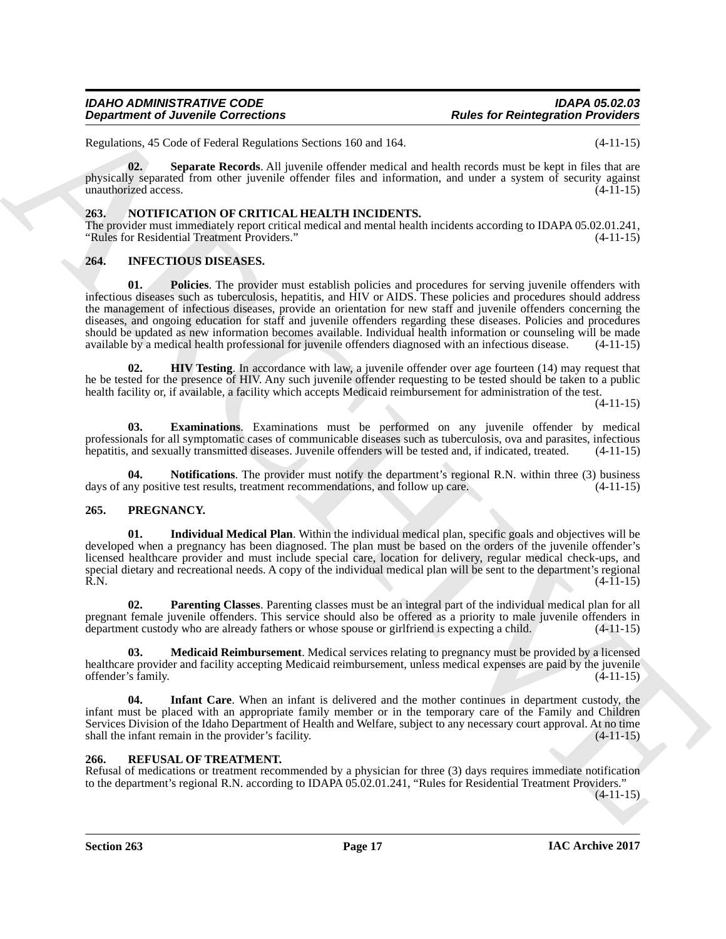Regulations, 45 Code of Federal Regulations Sections 160 and 164. (4-11-15)

<span id="page-16-15"></span>**02. Separate Records**. All juvenile offender medical and health records must be kept in files that are physically separated from other juvenile offender files and information, and under a system of security against unauthorized access. (4-11-15)

#### <span id="page-16-9"></span><span id="page-16-0"></span>**263. NOTIFICATION OF CRITICAL HEALTH INCIDENTS.**

The provider must immediately report critical medical and mental health incidents according to IDAPA 05.02.01.241, "Rules for Residential Treatment Providers." (4-11-15)

#### <span id="page-16-8"></span><span id="page-16-4"></span><span id="page-16-1"></span>**264. INFECTIOUS DISEASES.**

**Department of Juvenile Connections**<br>
Research Reliefation Projections<br>
Research Reliefation Projections<br>
Research Reliefation Projection Projections<br>  $\frac{1}{2}$ <br>  $\frac{1}{2}$ <br>  $\frac{1}{2}$ <br>  $\frac{1}{2}$ <br>  $\frac{1}{2}$ <br>  $\frac{1}{2}$ <br>  $\frac{$ **01. Policies**. The provider must establish policies and procedures for serving juvenile offenders with infectious diseases such as tuberculosis, hepatitis, and HIV or AIDS. These policies and procedures should address the management of infectious diseases, provide an orientation for new staff and juvenile offenders concerning the diseases, and ongoing education for staff and juvenile offenders regarding these diseases. Policies and procedures should be updated as new information becomes available. Individual health information or counseling will be made available by a medical health professional for juvenile offenders diagnosed with an infectious disease. (4-11 available by a medical health professional for juvenile offenders diagnosed with an infectious disease.

<span id="page-16-6"></span>**HIV Testing**. In accordance with law, a juvenile offender over age fourteen (14) may request that he be tested for the presence of HIV. Any such juvenile offender requesting to be tested should be taken to a public health facility or, if available, a facility which accepts Medicaid reimbursement for administration of the test.

(4-11-15)

<span id="page-16-5"></span>**03. Examinations**. Examinations must be performed on any juvenile offender by medical professionals for all symptomatic cases of communicable diseases such as tuberculosis, ova and parasites, infectious hepatitis, and sexually transmitted diseases. Juvenile offenders will be tested and, if indicated, treate hepatitis, and sexually transmitted diseases. Juvenile offenders will be tested and, if indicated, treated.

<span id="page-16-7"></span>**Notifications**. The provider must notify the department's regional R.N. within three (3) business ve test results, treatment recommendations, and follow up care. (4-11-15) days of any positive test results, treatment recommendations, and follow up care.

#### <span id="page-16-10"></span><span id="page-16-2"></span>**265. PREGNANCY.**

<span id="page-16-11"></span>**01. Individual Medical Plan**. Within the individual medical plan, specific goals and objectives will be developed when a pregnancy has been diagnosed. The plan must be based on the orders of the juvenile offender's licensed healthcare provider and must include special care, location for delivery, regular medical check-ups, and special dietary and recreational needs. A copy of the individual medical plan will be sent to the department's regional R.N. (4-11-15)  $R.N.$  (4-11-15)

<span id="page-16-14"></span>**02. Parenting Classes**. Parenting classes must be an integral part of the individual medical plan for all pregnant female juvenile offenders. This service should also be offered as a priority to male juvenile offenders in department custody who are already fathers or whose spouse or girlfriend is expecting a child. (4-11-15) department custody who are already fathers or whose spouse or girlfriend is expecting a child.

<span id="page-16-13"></span>**03. Medicaid Reimbursement**. Medical services relating to pregnancy must be provided by a licensed healthcare provider and facility accepting Medicaid reimbursement, unless medical expenses are paid by the juvenile<br>offender's family. (4-11-15) offender's family.

<span id="page-16-12"></span>**Infant Care**. When an infant is delivered and the mother continues in department custody, the infant must be placed with an appropriate family member or in the temporary care of the Family and Children Services Division of the Idaho Department of Health and Welfare, subject to any necessary court approval. At no time<br>shall the infant remain in the provider's facility. shall the infant remain in the provider's facility.

#### <span id="page-16-16"></span><span id="page-16-3"></span>**266. REFUSAL OF TREATMENT.**

Refusal of medications or treatment recommended by a physician for three (3) days requires immediate notification to the department's regional R.N. according to IDAPA 05.02.01.241, "Rules for Residential Treatment Providers."

 $(4-11-15)$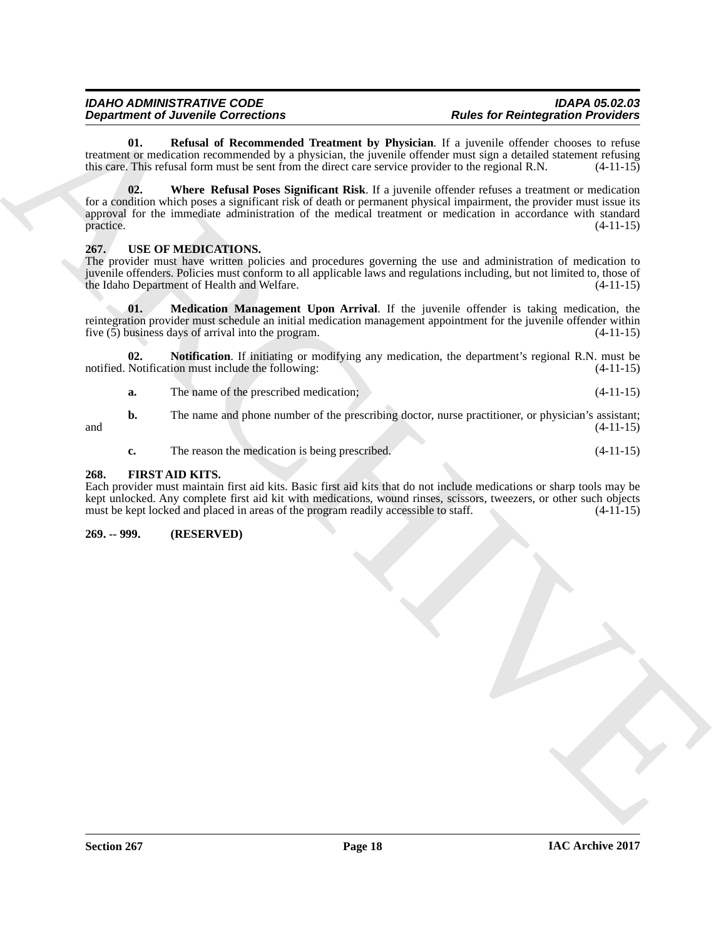<span id="page-17-5"></span><span id="page-17-4"></span>**01. Refusal of Recommended Treatment by Physician**. If a juvenile offender chooses to refuse treatment or medication recommended by a physician, the juvenile offender must sign a detailed statement refusing this care. This refusal form must be sent from the direct care service provider to the regional R.N. (4-11-15)

**Department of Justice Connection 2**<br> **Although Connective Connective Connective Connective Connective Connective Connective Connective Connective Connective Connective Connective Connective Connective Connective Connecti 02. Where Refusal Poses Significant Risk**. If a juvenile offender refuses a treatment or medication for a condition which poses a significant risk of death or permanent physical impairment, the provider must issue its approval for the immediate administration of the medical treatment or medication in accordance with standard  $practive.$  (4-11-15)

### <span id="page-17-6"></span><span id="page-17-0"></span>**267. USE OF MEDICATIONS.**

The provider must have written policies and procedures governing the use and administration of medication to juvenile offenders. Policies must conform to all applicable laws and regulations including, but not limited to, those of the Idaho Department of Health and Welfare.

<span id="page-17-7"></span>**01. Medication Management Upon Arrival**. If the juvenile offender is taking medication, the reintegration provider must schedule an initial medication management appointment for the juvenile offender within five (5) business days of arrival into the program. (4-11-15) five  $(5)$  business days of arrival into the program.

**02. Notification**. If initiating or modifying any medication, the department's regional R.N. must be Notification must include the following: notified. Notification must include the following:

<span id="page-17-8"></span>

|  | The name of the prescribed medication: | $(4-11-15)$ |  |
|--|----------------------------------------|-------------|--|
|  |                                        |             |  |

**b.** The name and phone number of the prescribing doctor, nurse practitioner, or physician's assistant; and  $(4-11-15)$ 

<span id="page-17-3"></span>**c.** The reason the medication is being prescribed. (4-11-15)

#### <span id="page-17-1"></span>**268. FIRST AID KITS.**

Each provider must maintain first aid kits. Basic first aid kits that do not include medications or sharp tools may be kept unlocked. Any complete first aid kit with medications, wound rinses, scissors, tweezers, or other such objects must be kept locked and placed in areas of the program readily accessible to staff.  $(4-11-15)$ 

<span id="page-17-2"></span>**269. -- 999. (RESERVED)**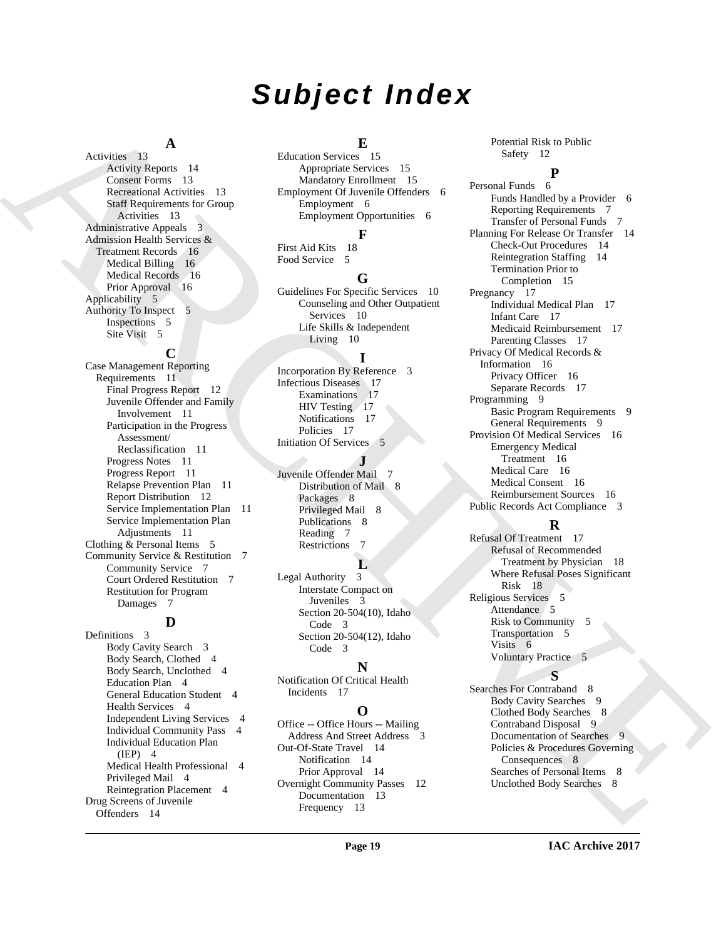# *Subject Index*

### **A**

Activities 13 Activity Reports 14 Consent Forms 13 Recreational Activities 13 Staff Requirements for Group Activities 13 Administrative Appeals 3 Admission Health Services & Treatment Records 16 Medical Billing 16 Medical Records 16 Prior Approval 16 Applicability 5 Authority To Inspect 5 Inspections 5 Site Visit 5

#### **C**

Case Management Reporting Requirements 11 Final Progress Report 12 Juvenile Offender and Family Involvement 11 Participation in the Progress Assessment/ Reclassification 11 Progress Notes 11 Progress Report 11 Relapse Prevention Plan 11 Report Distribution 12 Service Implementation Plan 11 Service Implementation Plan Adjustments 11 Clothing & Personal Items 5 Community Service & Restitution 7 Community Service 7 Court Ordered Restitution 7 Restitution for Program Damages 7

#### **D**

Definitions 3 Body Cavity Search 3 Body Search, Clothed 4 Body Search, Unclothed 4 Education Plan 4 General Education Student 4 Health Services 4 Independent Living Services 4 Individual Community Pass 4 Individual Education Plan (IEP) 4 Medical Health Professional 4 Privileged Mail 4 Reintegration Placement 4 Drug Screens of Juvenile Offenders 14

# **E**

Education Services 15 Appropriate Services 15 Mandatory Enrollment 15 Employment Of Juvenile Offenders 6 Employment 6 Employment Opportunities 6

### **F**

First Aid Kits 18 Food Service 5

# **G**

Guidelines For Specific Services 10 Counseling and Other Outpatient Services 10 Life Skills & Independent Living 10

#### **I**

Incorporation By Reference 3 Infectious Diseases 17 Examinations 17 HIV Testing 17 Notifications 17 Policies 17 Initiation Of Services 5

# **J**

Juvenile Offender Mail 7 Distribution of Mail 8 Packages 8 Privileged Mail 8 Publications 8 Reading 7 Restrictions 7

### **L**

Legal Authority 3 Interstate Compact on Juveniles 3 Section 20-504(10), Idaho Code 3 Section 20-504(12), Idaho Code 3

# **N**

Notification Of Critical Health Incidents 17

# **O**

Office -- Office Hours -- Mailing Address And Street Address Out-Of-State Travel 14 Notification 14 Prior Approval 14 Overnight Community Passes 12 Documentation 13 Frequency 13

Potential Risk to Public Safety 12

[A](#page-12-4) distribution is a considered by the constraints of the strength of the strength of the strength of the strength of the strength of the strength of the strength of the strength of the strength of the strength of the stre **P** Personal Funds 6 Funds Handled by a Provider 6 Reporting Requirements 7 Transfer of Personal Funds 7 Planning For Release Or Transfer 14 Check-Out Procedures 14 Reintegration Staffing 14 Termination Prior to Completion 15 Pregnancy 17 Individual Medical Plan 17 Infant Care 17 Medicaid Reimbursement 17 Parenting Classes 17 Privacy Of Medical Records & Information 16 Privacy Officer 16 Separate Records 17 Programming 9 Basic Program Requirements 9 General Requirements 9 Provision Of Medical Services 16 Emergency Medical Treatment 16 Medical Care 16 Medical Consent 16 Reimbursement Sources 16 Public Records Act Compliance 3

# **R**

Refusal Of Treatment 17 Refusal of Recommended Treatment by Physician 18 Where Refusal Poses Significant Risk 18 Religious Services 5 Attendance 5 Risk to Community 5 Transportation 5 Visits 6 Voluntary Practice 5

# **S**

Searches For Contraband 8 Body Cavity Searches 9 Clothed Body Searches 8 Contraband Disposal 9 Documentation of Searches 9 Policies & Procedures Governing Consequences 8 Searches of Personal Items 8 Unclothed Body Searches 8